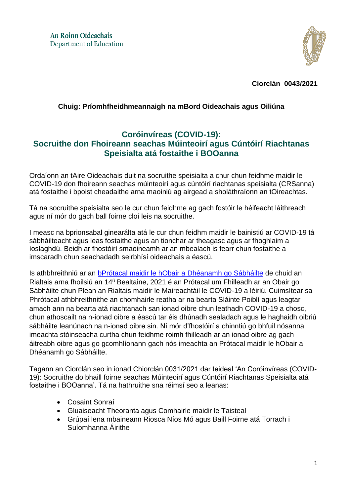

**Ciorclán 0043/2021**

## **Chuig: Príomhfheidhmeannaigh na mBord Oideachais agus Oiliúna**

## **Coróinvíreas (COVID-19): Socruithe don Fhoireann seachas Múinteoirí agus Cúntóirí Riachtanas Speisialta atá fostaithe i BOOanna**

Ordaíonn an tAire Oideachais duit na socruithe speisialta a chur chun feidhme maidir le COVID-19 don fhoireann seachas múinteoirí agus cúntóirí riachtanas speisialta (CRSanna) atá fostaithe i bpoist cheadaithe arna maoiniú ag airgead a sholáthraíonn an tOireachtas.

Tá na socruithe speisialta seo le cur chun feidhme ag gach fostóir le héifeacht láithreach agus ní mór do gach ball foirne cloí leis na socruithe.

I measc na bprionsabal ginearálta atá le cur chun feidhm maidir le bainistiú ar COVID-19 tá sábháilteacht agus leas fostaithe agus an tionchar ar theagasc agus ar fhoghlaim a íoslaghdú. Beidh ar fhostóirí smaoineamh ar an mbealach is fearr chun fostaithe a imscaradh chun seachadadh seirbhísí oideachais a éascú.

Is athbhreithniú ar an bPrótacal maidir le [hObair a Dhéanamh](https://www.gov.ie/en/publication/bb7fd-work-safely-protocol/) go Sábháilte de chuid an Rialtais arna fhoilsiú an 14<sup>ú</sup> Bealtaine, 2021 é an Prótacal um Fhilleadh ar an Obair go Sábháilte chun Plean an Rialtais maidir le Maireachtáil le COVID-19 a léiriú. Cuimsítear sa Phrótacal athbhreithnithe an chomhairle reatha ar na bearta Sláinte Poiblí agus leagtar amach ann na bearta atá riachtanach san ionad oibre chun leathadh COVID-19 a chosc, chun athoscailt na n-ionad oibre a éascú tar éis dhúnadh sealadach agus le haghaidh oibriú sábháilte leanúnach na n-ionad oibre sin. Ní mór d'fhostóirí a chinntiú go bhfuil nósanna imeachta stóinseacha curtha chun feidhme roimh fhilleadh ar an ionad oibre ag gach áitreabh oibre agus go gcomhlíonann gach nós imeachta an Prótacal maidir le hObair a Dhéanamh go Sábháilte.

Tagann an Ciorclán seo in ionad Chiorclán 0031/2021 dar teideal 'An Coróinvíreas (COVID-19): Socruithe do bhaill foirne seachas Múinteoirí agus Cúntóirí Riachtanas Speisialta atá fostaithe i BOOanna'. Tá na hathruithe sna réimsí seo a leanas:

- Cosaint Sonraí
- Gluaiseacht Theoranta agus Comhairle maidir le Taisteal
- Grúpaí lena mbaineann Riosca Níos Mó agus Baill Foirne atá Torrach i Suíomhanna Áirithe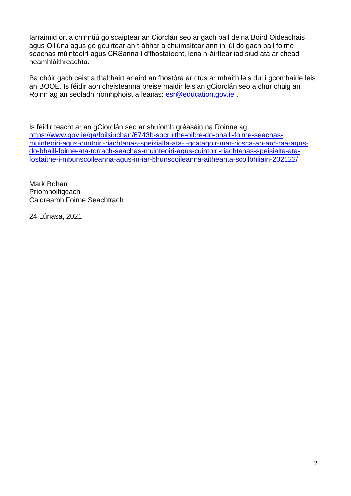Iarraimid ort a chinntiú go scaiptear an Ciorclán seo ar gach ball de na Boird Oideachais agus Oiliúna agus go gcuirtear an t-ábhar a chuimsítear ann in iúl do gach ball foirne seachas múinteoirí agus CRSanna i d'fhostaíocht, lena n-áirítear iad siúd atá ar chead neamhláithreachta.

Ba chóir gach ceist a thabhairt ar aird an fhostóra ar dtús ar mhaith leis dul i gcomhairle leis an BOOÉ. Is féidir aon cheisteanna breise maidir leis an gCiorclán seo a chur chuig an Roinn ag an seoladh ríomhphoist a leanas: [esr@education.gov.ie](mailto:esr@education.gov.ie) .

Is féidir teacht ar an gCiorclán seo ar shuíomh gréasáin na Roinne ag [https://www.gov.ie/ga/foilsiuchan/6743b-socruithe-oibre-do-bhaill-foirne-seachas](https://www.gov.ie/ga/foilsiuchan/6743b-socruithe-oibre-do-bhaill-foirne-seachas-muinteoiri-agus-cuntoiri-riachtanas-speisialta-ata-i-gcatagoir-mar-riosca-an-ard-raa-agus-do-bhaill-foirne-ata-torrach-seachas-muinteoiri-agus-cuintoiri-riachtanas-speisialta-ata-fostaithe-i-mbunscoileanna-agus-in-iar-bhunscoileanna-aitheanta-scoilbhliain-202122/)[muinteoiri-agus-cuntoiri-riachtanas-speisialta-ata-i-gcatagoir-mar-riosca-an-ard-raa-agus](https://www.gov.ie/ga/foilsiuchan/6743b-socruithe-oibre-do-bhaill-foirne-seachas-muinteoiri-agus-cuntoiri-riachtanas-speisialta-ata-i-gcatagoir-mar-riosca-an-ard-raa-agus-do-bhaill-foirne-ata-torrach-seachas-muinteoiri-agus-cuintoiri-riachtanas-speisialta-ata-fostaithe-i-mbunscoileanna-agus-in-iar-bhunscoileanna-aitheanta-scoilbhliain-202122/)[do-bhaill-foirne-ata-torrach-seachas-muinteoiri-agus-cuintoiri-riachtanas-speisialta-ata](https://www.gov.ie/ga/foilsiuchan/6743b-socruithe-oibre-do-bhaill-foirne-seachas-muinteoiri-agus-cuntoiri-riachtanas-speisialta-ata-i-gcatagoir-mar-riosca-an-ard-raa-agus-do-bhaill-foirne-ata-torrach-seachas-muinteoiri-agus-cuintoiri-riachtanas-speisialta-ata-fostaithe-i-mbunscoileanna-agus-in-iar-bhunscoileanna-aitheanta-scoilbhliain-202122/)[fostaithe-i-mbunscoileanna-agus-in-iar-bhunscoileanna-aitheanta-scoilbhliain-202122/](https://www.gov.ie/ga/foilsiuchan/6743b-socruithe-oibre-do-bhaill-foirne-seachas-muinteoiri-agus-cuntoiri-riachtanas-speisialta-ata-i-gcatagoir-mar-riosca-an-ard-raa-agus-do-bhaill-foirne-ata-torrach-seachas-muinteoiri-agus-cuintoiri-riachtanas-speisialta-ata-fostaithe-i-mbunscoileanna-agus-in-iar-bhunscoileanna-aitheanta-scoilbhliain-202122/)

Mark Bohan Príomhoifigeach Caidreamh Foirne Seachtrach

24 Lúnasa, 2021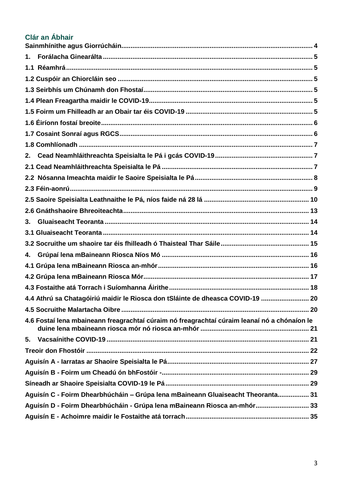# Clár an Ábhair

| 1.                                                                              |                                                                                              |  |  |
|---------------------------------------------------------------------------------|----------------------------------------------------------------------------------------------|--|--|
|                                                                                 |                                                                                              |  |  |
|                                                                                 |                                                                                              |  |  |
|                                                                                 |                                                                                              |  |  |
|                                                                                 |                                                                                              |  |  |
|                                                                                 |                                                                                              |  |  |
|                                                                                 |                                                                                              |  |  |
|                                                                                 |                                                                                              |  |  |
|                                                                                 |                                                                                              |  |  |
| 2.                                                                              |                                                                                              |  |  |
|                                                                                 |                                                                                              |  |  |
|                                                                                 |                                                                                              |  |  |
|                                                                                 |                                                                                              |  |  |
|                                                                                 |                                                                                              |  |  |
|                                                                                 |                                                                                              |  |  |
| 3.                                                                              |                                                                                              |  |  |
|                                                                                 |                                                                                              |  |  |
|                                                                                 |                                                                                              |  |  |
| 4.                                                                              |                                                                                              |  |  |
|                                                                                 |                                                                                              |  |  |
|                                                                                 |                                                                                              |  |  |
|                                                                                 |                                                                                              |  |  |
|                                                                                 | 4.4 Athrú sa Chatagóiriú maidir le Riosca don tSláinte de dheasca COVID-19  20               |  |  |
|                                                                                 |                                                                                              |  |  |
|                                                                                 | 4.6 Fostaí lena mbaineann freagrachtaí cúraim nó freagrachtaí cúraim leanaí nó a chónaíon le |  |  |
|                                                                                 |                                                                                              |  |  |
|                                                                                 |                                                                                              |  |  |
|                                                                                 |                                                                                              |  |  |
|                                                                                 |                                                                                              |  |  |
|                                                                                 |                                                                                              |  |  |
| Aguisín C - Foirm Dhearbhúcháin - Grúpa lena mBaineann Gluaiseacht Theoranta 31 |                                                                                              |  |  |
|                                                                                 | Aguisín D - Foirm Dhearbhúcháin - Grúpa lena mBaineann Riosca an-mhór 33                     |  |  |
|                                                                                 |                                                                                              |  |  |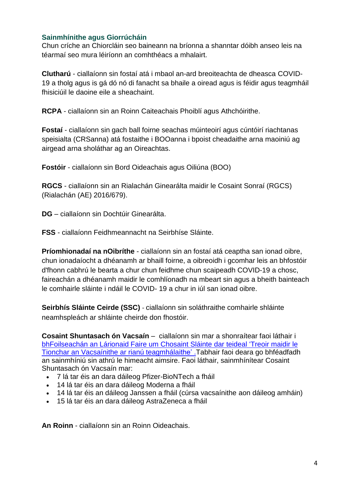### <span id="page-3-0"></span>**Sainmhínithe agus Giorrúcháin**

Chun críche an Chiorcláin seo baineann na bríonna a shanntar dóibh anseo leis na téarmaí seo mura léiríonn an comhthéacs a mhalairt.

**Clutharú** - ciallaíonn sin fostaí atá i mbaol an-ard breoiteachta de dheasca COVID-19 a tholg agus is gá dó nó di fanacht sa bhaile a oiread agus is féidir agus teagmháil fhisiciúil le daoine eile a sheachaint.

**RCPA** - ciallaíonn sin an Roinn Caiteachais Phoiblí agus Athchóirithe.

**Fostaí** - ciallaíonn sin gach ball foirne seachas múinteoirí agus cúntóirí riachtanas speisialta (CRSanna) atá fostaithe i BOOanna i bpoist cheadaithe arna maoiniú ag airgead arna sholáthar ag an Oireachtas.

**Fostóir** - ciallaíonn sin Bord Oideachais agus Oiliúna (BOO)

**RGCS** - ciallaíonn sin an Rialachán Ginearálta maidir le Cosaint Sonraí (RGCS) (Rialachán (AE) 2016/679).

**DG** – ciallaíonn sin Dochtúir Ginearálta.

**FSS** - ciallaíonn Feidhmeannacht na Seirbhíse Sláinte.

**Príomhionadaí na nOibríthe** - ciallaíonn sin an fostaí atá ceaptha san ionad oibre, chun ionadaíocht a dhéanamh ar bhaill foirne, a oibreoidh i gcomhar leis an bhfostóir d'fhonn cabhrú le bearta a chur chun feidhme chun scaipeadh COVID-19 a chosc, faireachán a dhéanamh maidir le comhlíonadh na mbeart sin agus a bheith bainteach le comhairle sláinte i ndáil le COVID- 19 a chur in iúl san ionad oibre.

**Seirbhís Sláinte Ceirde (SSC)** - ciallaíonn sin soláthraithe comhairle shláinte neamhspleách ar shláinte cheirde don fhostóir.

**Cosaint Shuntasach ón Vacsaín** – ciallaíonn sin mar a shonraítear faoi láthair [i](https://www.hpsc.ie/a-z/respiratory/coronavirus/novelcoronavirus/guidance/contacttracingguidance/Guidance_impact%20of%20vaccination%20on%20contact%20tracing%20guidance.pdf) bhFoilseachán [an Lárionaid Faire um Chosaint Sláinte](https://www.hpsc.ie/a-z/respiratory/coronavirus/novelcoronavirus/guidance/contacttracingguidance/Guidance_impact%20of%20vaccination%20on%20contact%20tracing%20guidance.pdf) dar teideal 'Treoir maidir le [Tionchar an Vacsaínithe ar rianú teagmhálaithe' .](https://www.hpsc.ie/a-z/respiratory/coronavirus/novelcoronavirus/guidance/contacttracingguidance/Guidance_impact%20of%20vaccination%20on%20contact%20tracing%20guidance.pdf)Tabhair faoi deara go bhféadfadh an sainmhíniú sin athrú le himeacht aimsire. Faoi láthair, sainmhínítear Cosaint Shuntasach ón Vacsaín mar:

- 7 lá tar éis an dara dáileog Pfizer-BioNTech a fháil
- 14 lá tar éis an dara dáileog Moderna a fháil
- 14 lá tar éis an dáileog Janssen a fháil (cúrsa vacsaínithe aon dáileog amháin)
- 15 lá tar éis an dara dáileog AstraZeneca a fháil

**An Roinn** - ciallaíonn sin an Roinn Oideachais.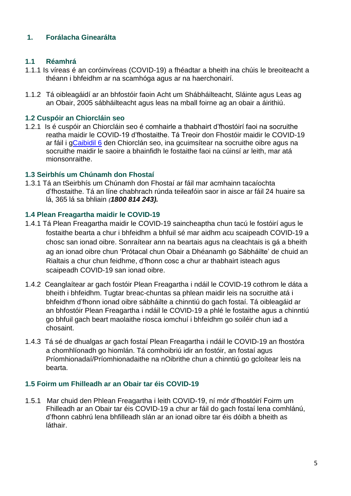## <span id="page-4-0"></span>**1. Forálacha Ginearálta**

### <span id="page-4-1"></span>**1.1 Réamhrá**

- 1.1.1 Is víreas é an coróinvíreas (COVID-19) a fhéadtar a bheith ina chúis le breoiteacht a théann i bhfeidhm ar na scamhóga agus ar na haerchonairí.
- 1.1.2 Tá oibleagáidí ar an bhfostóir faoin Acht um Shábháilteacht, Sláinte agus Leas ag an Obair, 2005 sábháilteacht agus leas na mball foirne ag an obair a áirithiú.

### <span id="page-4-2"></span>**1.2 Cuspóir an Chiorcláin seo**

1.2.1 Is é cuspóir an Chiorcláin seo é comhairle a thabhairt d'fhostóirí faoi na socruithe reatha maidir le COVID-19 d'fhostaithe. Tá Treoir don Fhostóir maidir le COVID-19 ar fáil i [gCaibidil](#page-21-0) 6 den Chiorclán seo, ina gcuimsítear na socruithe oibre agus na socruithe maidir le saoire a bhainfidh le fostaithe faoi na cúinsí ar leith, mar atá mionsonraithe.

## <span id="page-4-3"></span>**1.3 Seirbhís um Chúnamh don Fhostaí**

1.3.1 Tá an tSeirbhís um Chúnamh don Fhostaí ar fáil mar acmhainn tacaíochta d'fhostaithe. Tá an líne chabhrach rúnda teileafóin saor in aisce ar fáil 24 huaire sa lá, 365 lá sa bhliain *(1800 814 243).*

#### <span id="page-4-4"></span>**1.4 Plean Freagartha maidir le COVID-19**

- 1.4.1 Tá Plean Freagartha maidir le COVID-19 saincheaptha chun tacú le fostóirí agus le fostaithe bearta a chur i bhfeidhm a bhfuil sé mar aidhm acu scaipeadh COVID-19 a chosc san ionad oibre. Sonraítear ann na beartais agus na cleachtais is gá a bheith ag an ionad oibre chun 'Prótacal chun Obair a Dhéanamh go Sábháilte' de chuid an Rialtais a chur chun feidhme, d'fhonn cosc a chur ar thabhairt isteach agus scaipeadh COVID-19 san ionad oibre.
- 1.4.2 Ceanglaítear ar gach fostóir Plean Freagartha i ndáil le COVID-19 cothrom le dáta a bheith i bhfeidhm. Tugtar breac-chuntas sa phlean maidir leis na socruithe atá i bhfeidhm d'fhonn ionad oibre sábháilte a chinntiú do gach fostaí. Tá oibleagáid ar an bhfostóir Plean Freagartha i ndáil le COVID-19 a phlé le fostaithe agus a chinntiú go bhfuil gach beart maolaithe riosca iomchuí i bhfeidhm go soiléir chun iad a chosaint.
- 1.4.3 Tá sé de dhualgas ar gach fostaí Plean Freagartha i ndáil le COVID-19 an fhostóra a chomhlíonadh go hiomlán. Tá comhoibriú idir an fostóir, an fostaí agus Príomhionadaí/Príomhionadaithe na nOibrithe chun a chinntiú go gcloítear leis na bearta.

#### <span id="page-4-5"></span>**1.5 Foirm um Fhilleadh ar an Obair tar éis COVID-19**

1.5.1 Mar chuid den Phlean Freagartha i leith COVID-19, ní mór d'fhostóirí Foirm um Fhilleadh ar an Obair tar éis COVID-19 a chur ar fáil do gach fostaí lena comhlánú, d'fhonn cabhrú lena bhfilleadh slán ar an ionad oibre tar éis dóibh a bheith as láthair.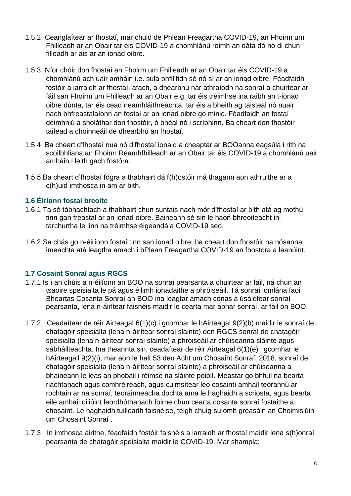- 1.5.2 Ceanglaítear ar fhostaí, mar chuid de Phlean Freagartha COVID-19, an Fhoirm um Fhilleadh ar an Obair tar éis COVID-19 a chomhlánú roimh an dáta dó nó di chun filleadh ar ais ar an ionad oibre.
- 1.5.3 Níor chóir don fhostaí an Fhoirm um Fhilleadh ar an Obair tar éis COVID-19 a chomhlánú ach uair amháin i.e. sula bhfillfidh sé nó sí ar an ionad oibre. Féadfaidh fostóir a iarraidh ar fhostaí, áfach, a dhearbhú nár athraíodh na sonraí a chuirtear ar fáil san Fhoirm um Fhilleadh ar an Obair e.g. tar éis tréimhse ina raibh an t-ionad oibre dúnta, tar éis cead neamhláithreachta, tar éis a bheith ag taisteal nó nuair nach bhfreastalaíonn an fostaí ar an ionad oibre go minic. Féadfaidh an fostaí deimhniú a sholáthar don fhostóir, ó bhéal nó i scríbhinn. Ba cheart don fhostóir taifead a choinneáil de dhearbhú an fhostaí.
- 1.5.4 Ba cheart d'fhostaí nua nó d'fhostaí ionaid a cheaptar ar BOOanna éagsúla i rith na scoilbhliana an Fhoirm Réamhfhilleadh ar an Obair tar éis COVID-19 a chomhlánú uair amháin i leith gach fostóra.
- 1.5.5 Ba cheart d'fhostaí fógra a thabhairt dá f(h)ostóir má thagann aon athruithe ar a c(h)uid imthosca in am ar bith.

#### <span id="page-5-0"></span>**1.6 Éiríonn fostaí breoite**

- 1.6.1 Tá sé tábhachtach a thabhairt chun suntais nach mór d'fhostaí ar bith atá ag mothú tinn gan freastal ar an ionad oibre. Baineann sé sin le haon bhreoiteacht intarchurtha le linn na tréimhse éigeandála COVID-19 seo.
- 1.6.2 Sa chás go n-éiríonn fostaí tinn san ionad oibre, ba cheart don fhostóir na nósanna imeachta atá leagtha amach i bPlean Freagartha COVID-19 an fhostóra a leanúint.

## <span id="page-5-1"></span>**1.7 Cosaint Sonraí agus RGCS**

- 1.7.1 Is í an chúis a n-éilíonn an BOO na sonraí pearsanta a chuirtear ar fáil, ná chun an tsaoire speisialta le pá agus éilimh ionadaithe a phróiseáil. Tá sonraí iomlána faoi Bheartas Cosanta Sonraí an BOO ina leagtar amach conas a úsáidfear sonraí pearsanta, lena n-áirítear faisnéis maidir le cearta mar ábhar sonraí, ar fáil ón BOO.
- 1.7.2 Ceadaítear de réir Airteagal 6(1)(c) i gcomhar le hAirteagal 9(2)(b) maidir le sonraí de chatagóir speisialta (lena n-áirítear sonraí sláinte) den RGCS sonraí de chatagóir speisialta (lena n-áirítear sonraí sláinte) a phróiseáil ar chúiseanna sláinte agus sábháilteachta. Ina theannta sin, ceadaítear de réir Airteagal 6(1)(e) i gcomhar le hAirteagail 9(2)(i), mar aon le halt 53 den Acht um Chosaint Sonraí, 2018, sonraí de chatagóir speisialta (lena n-áirítear sonraí sláinte) a phróiseáil ar chúiseanna a bhaineann le leas an phobail i réimse na sláinte poiblí. Meastar go bhfuil na bearta riachtanach agus comhréireach, agus cuimsítear leo cosaintí amhail teorannú ar rochtain ar na sonraí, teorainneacha dochta ama le haghaidh a scriosta, agus bearta eile amhail oiliúint leordhóthanach foirne chun cearta cosanta sonraí fostaithe a chosaint. Le haghaidh tuilleadh faisnéise, téigh chuig [suíomh gréasáin an Choimisiúin](https://dataprotection.ie/en/news-media/blogs/data-protection-and-covid-19)  [um Chosaint Sonraí](https://dataprotection.ie/en/news-media/blogs/data-protection-and-covid-19) .
- 1.7.3 In imthosca áirithe, féadfaidh fostóir faisnéis a iarraidh ar fhostaí maidir lena s(h)onraí pearsanta de chatagóir speisialta maidir le COVID-19. Mar shampla: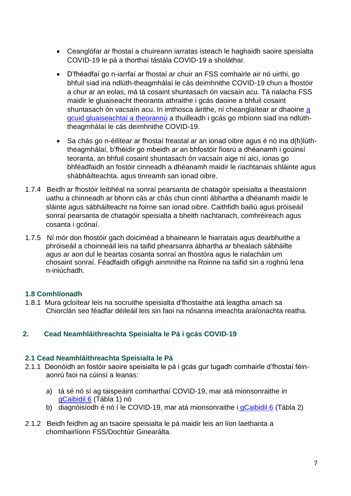- Ceanglófar ar fhostaí a chuireann iarratas isteach le haghaidh saoire speisialta COVID-19 le pá a thorthaí tástála COVID-19 a sholáthar.
- D'fhéadfaí go n-iarrfaí ar fhostaí ar chuir an FSS comhairle air nó uirthi, go bhfuil siad ina ndlúth-theagmhálaí le cás deimhnithe COVID-19 chun a fhostóir a chur ar an eolas, má tá cosaint shuntasach ón vacsaín acu. Tá rialacha FSS maidir le gluaiseacht theoranta athraithe i gcás daoine a bhfuil cosaint shuntasach ón vacsaín acu. In imthosca áirithe, ní cheanglaítear ar dhaoine a [gcuid gluaiseachtaí a theorannú](https://www2.hse.ie/conditions/covid19/restricted-movements/restricted-movements/) a thuilleadh i gcás go mbíonn siad ina ndlúththeagmhálaí le cás deimhnithe COVID-19.
- Sa chás go n-éilítear ar fhostaí freastal ar an ionad oibre agus é nó ina d(h)lúththeagmhálaí, b'fhéidir go mbeidh ar an bhfostóir fiosrú a dhéanamh i gcúinsí teoranta, an bhfuil cosaint shuntasach ón vacsaín aige ní aici, ionas go bhféadfaidh an fostóir cinneadh a dhéanamh maidir le riachtanais shláinte agus shábháilteachta. agus tinreamh san ionad oibre.
- 1.7.4 Beidh ar fhostóir leibhéal na sonraí pearsanta de chatagóir speisialta a theastaíonn uathu a chinneadh ar bhonn cás ar chás chun cinntí ábhartha a dhéanamh maidir le sláinte agus sábháilteacht na foirne san ionad oibre. Caithfidh bailiú agus próiseáil sonraí pearsanta de chatagóir speisialta a bheith riachtanach, comhréireach agus cosanta i gcónaí.
- 1.7.5 Ní mór don fhostóir gach doiciméad a bhaineann le hiarratais agus dearbhuithe a phróiseáil a choinneáil leis na taifid phearsanra ábhartha ar bhealach sábháilte agus ar aon dul le beartas cosanta sonraí an fhostóra agus le rialacháin um chosaint sonraí. Féadfaidh oifigigh ainmnithe na Roinne na taifid sin a roghnú lena n-iniúchadh.

#### <span id="page-6-0"></span>**1.8 Comhlíonadh**

1.8.1 Mura gcloítear leis na socruithe speisialta d'fhostaithe atá leagtha amach sa Chiorclán seo féadfar déileáil leis sin faoi na nósanna imeachta araíonachta reatha.

#### <span id="page-6-1"></span>**2. Cead Neamhláithreachta Speisialta le Pá i gcás COVID-19**

#### <span id="page-6-2"></span>**2.1 Cead Neamhláithreachta Speisialta le Pá**

- 2.1.1 Deonóidh an fostóir saoire speisialta le pá i gcás gur tugadh comhairle d'fhostaí féinaonrú faoi na cúinsí a leanas:
	- a) tá sé nó sí ag taispeáint comharthaí COVID-19, mar atá mionsonraithe i[n](#page-21-0) [gCaibidil 6](#page-21-0) (Tábla 1) nó
	- b) diagnóisíodh é nó í le COVID-19, mar atá mionsonraithe i [gCaibidil 6](#page-21-0) (Tábla 2)
- 2.1.2 Beidh feidhm ag an tsaoire speisialta le pá maidir leis an líon laethanta a chomhairlíonn FSS/Dochtúir Ginearálta.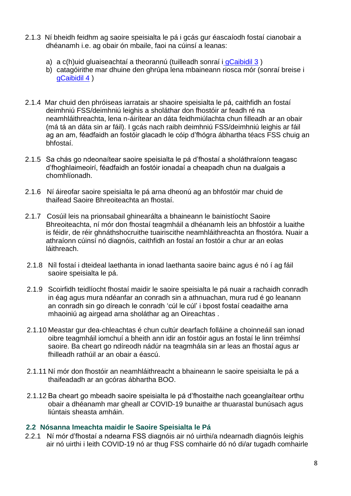- 2.1.3 Ní bheidh feidhm ag saoire speisialta le pá i gcás gur éascaíodh fostaí cianobair a dhéanamh i.e. ag obair ón mbaile, faoi na cúinsí a leanas:
	- a) a c(h)uid gluaiseachtaí a theorannú (tuilleadh sonraí i [gCaibidil 3](#page-13-0))
	- b) catagóirithe mar dhuine den ghrúpa lena mbaineann riosca mór (sonraí breise [i](#page-15-0) [gCaibidil](#page-15-0) 4 )
- 2.1.4 Mar chuid den phróiseas iarratais ar shaoire speisialta le pá, caithfidh an fostaí deimhniú FSS/deimhniú leighis a sholáthar don fhostóir ar feadh ré na neamhláithreachta, lena n-áirítear an dáta feidhmiúlachta chun filleadh ar an obair (má tá an dáta sin ar fáil). I gcás nach raibh deimhniú FSS/deimhniú leighis ar fáil ag an am, féadfaidh an fostóir glacadh le cóip d'fhógra ábhartha téacs FSS chuig an bhfostaí.
- 2.1.5 Sa chás go ndeonaítear saoire speisialta le pá d'fhostaí a sholáthraíonn teagasc d'fhoghlaimeoirí, féadfaidh an fostóir ionadaí a cheapadh chun na dualgais a chomhlíonadh.
- 2.1.6 Ní áireofar saoire speisialta le pá arna dheonú ag an bhfostóir mar chuid de thaifead Saoire Bhreoiteachta an fhostaí.
- 2.1.7 Cosúil leis na prionsabail ghinearálta a bhaineann le bainistíocht Saoire Bhreoiteachta, ní mór don fhostaí teagmháil a dhéanamh leis an bhfostóir a luaithe is féidir, de réir ghnáthshocruithe tuairiscithe neamhláithreachta an fhostóra. Nuair a athraíonn cúinsí nó diagnóis, caithfidh an fostaí an fostóir a chur ar an eolas láithreach.
- 2.1.8 Níl fostaí i dteideal laethanta in ionad laethanta saoire bainc agus é nó í ag fáil saoire speisialta le pá.
- 2.1.9 Scoirfidh teidlíocht fhostaí maidir le saoire speisialta le pá nuair a rachaidh conradh in éag agus mura ndéanfar an conradh sin a athnuachan, mura rud é go leanann an conradh sin go díreach le conradh 'cúl le cúl' i bpost fostaí ceadaithe arna mhaoiniú ag airgead arna sholáthar ag an Oireachtas .
- 2.1.10 Meastar gur dea-chleachtas é chun cultúr dearfach folláine a choinneáil san ionad oibre teagmháil iomchuí a bheith ann idir an fostóir agus an fostaí le linn tréimhsí saoire. Ba cheart go ndíreodh nádúr na teagmhála sin ar leas an fhostaí agus ar fhilleadh rathúil ar an obair a éascú.
- 2.1.11 Ní mór don fhostóir an neamhláithreacht a bhaineann le saoire speisialta le pá a thaifeadadh ar an gcóras ábhartha BOO.
- 2.1.12 Ba cheart go mbeadh saoire speisialta le pá d'fhostaithe nach gceanglaítear orthu obair a dhéanamh mar gheall ar COVID-19 bunaithe ar thuarastal bunúsach agus liúntais sheasta amháin.

#### <span id="page-7-0"></span>**2.2 Nósanna Imeachta maidir le Saoire Speisialta le Pá**

2.2.1 Ní mór d'fhostaí a ndearna FSS diagnóis air nó uirthi/a ndearnadh diagnóis leighis air nó uirthi i leith COVID-19 nó ar thug FSS comhairle dó nó di/ar tugadh comhairle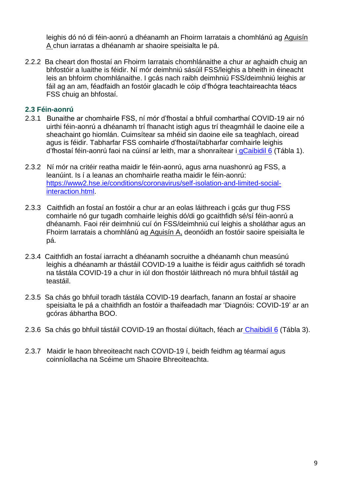<span id="page-8-1"></span>leighis dó nó di féin-aonrú a dhéanamh an Fhoirm Iarratais a chomhlánú ag Aguisín A chun iarratas a dhéanamh ar shaoire speisialta le pá.

2.2.2 Ba cheart don fhostaí an Fhoirm Iarratais chomhlánaithe a chur ar aghaidh chuig an bhfostóir a luaithe is féidir. Ní mór deimhniú sásúil FSS/leighis a bheith in éineacht leis an bhfoirm chomhlánaithe. I gcás nach raibh deimhniú FSS/deimhniú leighis ar fáil ag an am, féadfaidh an fostóir glacadh le cóip d'fhógra teachtaireachta téacs FSS chuig an bhfostaí.

### <span id="page-8-0"></span>**2.3 Féin-aonrú**

- 2.3.1 Bunaithe ar chomhairle FSS, ní mór d'fhostaí a bhfuil comharthaí COVID-19 air nó uirthi féin-aonrú a dhéanamh trí fhanacht istigh agus trí theagmháil le daoine eile a sheachaint go hiomlán. Cuimsítear sa mhéid sin daoine eile sa teaghlach, oiread agus is féidir. Tabharfar FSS comhairle d'fhostaí/tabharfar comhairle leighis d'fhostaí féin-aonrú faoi na cúinsí ar leith, mar a shonraítear i [gCaibidil 6](#page-21-0) (Tábla 1).
- 2.3.2 Ní mór na critéir reatha maidir le féin-aonrú, agus arna nuashonrú ag FSS, a leanúint. Is í a leanas an chomhairle reatha maidir le féin-aonrú: [https://www2.hse.ie/conditions/coronavirus/self-isolation-and-limited-social](https://www2.hse.ie/conditions/coronavirus/self-isolation-and-limited-social-interaction.html)[interaction.html.](https://www2.hse.ie/conditions/coronavirus/self-isolation-and-limited-social-interaction.html)
- 2.3.3 Caithfidh an fostaí an fostóir a chur ar an eolas láithreach i gcás gur thug FSS comhairle nó gur tugadh comhairle leighis dó/di go gcaithfidh sé/sí féin-aonrú a dhéanamh. Faoi réir deimhniú cuí ón FSS/deimhniú cuí leighis a sholáthar agus an Fhoirm Iarratais a chomhlánú ag [Aguisín A,](#page-26-1) deonóidh an fostóir saoire speisialta le pá.
- 2.3.4 Caithfidh an fostaí iarracht a dhéanamh socruithe a dhéanamh chun measúnú leighis a dhéanamh ar thástáil COVID-19 a luaithe is féidir agus caithfidh sé toradh na tástála COVID-19 a chur in iúl don fhostóir láithreach nó mura bhfuil tástáil ag teastáil.
- 2.3.5 Sa chás go bhfuil toradh tástála COVID-19 dearfach, fanann an fostaí ar shaoire speisialta le pá a chaithfidh an fostóir a thaifeadadh mar 'Diagnóis: COVID-19' ar an gcóras ábhartha BOO.
- 2.3.6 Sa chás go bhfuil tástáil COVID-19 an fhostaí diúltach, féach ar [Chaibidil 6](#page-22-0) (Tábla 3).
- 2.3.7 Maidir le haon bhreoiteacht nach COVID-19 í, beidh feidhm ag téarmaí agus coinníollacha na Scéime um Shaoire Bhreoiteachta.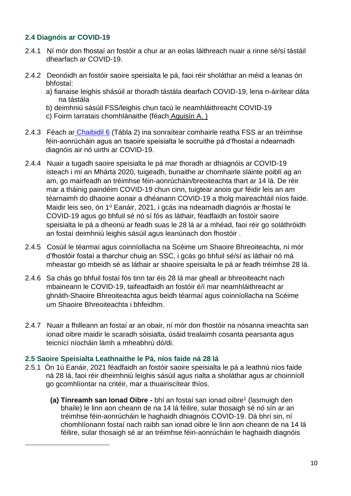## <span id="page-9-1"></span>**2.4 Diagnóis ar COVID-19**

- 2.4.1 Ní mór don fhostaí an fostóir a chur ar an eolas láithreach nuair a rinne sé/sí tástáil dhearfach ar COVID-19.
- 2.4.2 Deonóidh an fostóir saoire speisialta le pá, faoi réir sholáthar an méid a leanas ón bhfostaí:
	- a) fianaise leighis shásúil ar thoradh tástála dearfach COVID-19, lena n-áirítear dáta na tástála
	- b) deimhniú sásúil FSS/leighis chun tacú le neamhláithreacht COVID-19
	- c) Foirm Iarratais chomhlánaithe (féach [Aguisín A.](#page-26-1) )
- 2.4.3 Féach ar [Chaibidil 6](#page-21-0) (Tábla 2) ina sonraítear comhairle reatha FSS ar an tréimhse féin-aonrúcháin agus an tsaoire speisialta le socruithe pá d'fhostaí a ndearnadh diagnóis air nó uirthi ar COVID-19.
- 2.4.4 Nuair a tugadh saoire speisialta le pá mar thoradh ar dhiagnóis ar COVID-19 isteach i mí an Mhárta 2020, tuigeadh, bunaithe ar chomhairle sláinte poiblí ag an am, go mairfeadh an tréimhse féin-aonrúcháin/breoiteachta thart ar 14 lá. De réir mar a tháinig paindéim COVID-19 chun cinn, tuigtear anois gur féidir leis an am téarnaimh do dhaoine aonair a dhéanann COVID-19 a tholg maireachtáil níos faide. Maidir leis seo, ón 1<sup>ú</sup> Eanáir, 2021, i gcás ina ndearnadh diagnóis ar fhostaí le COVID-19 agus go bhfuil sé nó sí fós as láthair, féadfaidh an fostóir saoire speisialta le pá a dheonú ar feadh suas le 28 lá ar a mhéad, faoi réir go soláthróidh an fostaí deimhniú leighis sásúil agus leanúnach don fhostóir .
- <span id="page-9-2"></span>2.4.5 Cosúil le téarmaí agus coinníollacha na Scéime um Shaoire Bhreoiteachta, ní mór d'fhostóir fostaí a tharchur chuig an SSC, i gcás go bhfuil sé/sí as láthair nó má mheastar go mbeidh sé as láthair ar shaoire speisialta le pá ar feadh tréimhse 28 lá.
- 2.4.6 Sa chás go bhfuil fostaí fós tinn tar éis 28 lá mar gheall ar bhreoiteacht nach mbaineann le COVID-19, taifeadfaidh an fostóir é/í mar neamhláithreacht ar ghnáth-Shaoire Bhreoiteachta agus beidh téarmaí agus coinníollacha na Scéime um Shaoire Bhreoiteachta i bhfeidhm.
- 2.4.7 Nuair a fhilleann an fostaí ar an obair, ní mór don fhostóir na nósanna imeachta san ionad oibre maidir le scaradh sóisialta, úsáid trealaimh cosanta pearsanta agus teicnící níocháin lámh a mheabhrú dó/di.

#### <span id="page-9-0"></span>**2.5 Saoire Speisialta Leathnaithe le Pá, níos faide ná 28 lá**

 $\overline{a}$ 

- 2.5.1 Ón 1ú Eanáir, 2021 féadfaidh an fostóir saoire speisialta le pá a leathnú níos faide ná 28 lá, faoi réir dheimhniú leighis sásúil agus rialta a sholáthar agus ar choinníoll go gcomhlíontar na critéir, mar a thuairiscítear thíos.
	- **(a) Tinreamh san lonad Oibre -** bhí an fostaí san ionad oibre<sup>1</sup> (lasmuigh den bhaile) le linn aon cheann de na 14 lá féilire, sular thosaigh sé nó sín ar an tréimhse féin-aonrúcháin le haghaidh dhiagnóis COVID-19. Dá bhrí sin, ní chomhlíonann fostaí nach raibh san ionad oibre le linn aon cheann de na 14 lá féilire, sular thosaigh sé ar an tréimhse féin-aonrúcháin le haghaidh diagnóis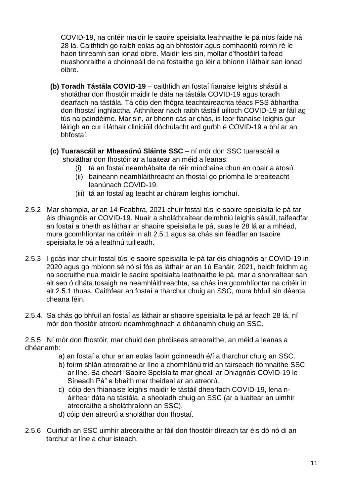COVID-19, na critéir maidir le saoire speisialta leathnaithe le pá níos faide ná 28 lá. Caithfidh go raibh eolas ag an bhfostóir agus comhaontú roimh ré le haon tinreamh san ionad oibre. Maidir leis sin, moltar d'fhostóirí taifead nuashonraithe a choinneáil de na fostaithe go léir a bhíonn i láthair san ionad oibre.

- **(b) Toradh Tástála COVID-19** caithfidh an fostaí fianaise leighis shásúil a sholáthar don fhostóir maidir le dáta na tástála COVID-19 agus toradh dearfach na tástála. Tá cóip den fhógra teachtaireachta téacs FSS ábhartha don fhostaí inghlactha. Aithnítear nach raibh tástáil uilíoch COVID-19 ar fáil ag tús na paindéime. Mar sin, ar bhonn cás ar chás, is leor fianaise leighis gur léirigh an cur i láthair cliniciúil dóchúlacht ard gurbh é COVID-19 a bhí ar an bhfostaí.
- **(c) Tuarascáil ar Mheasúnú Sláinte SSC** ní mór don SSC tuarascáil a sholáthar don fhostóir ar a luaitear an méid a leanas:
	- (i) tá an fostaí neamhábalta de réir míochaine chun an obair a atosú.
	- (ii) baineann neamhláithreacht an fhostaí go príomha le breoiteacht leanúnach COVID-19.
	- (iii) tá an fostaí ag teacht ar chúram leighis iomchuí.
- 2.5.2 Mar shampla, ar an 14 Feabhra, 2021 chuir fostaí tús le saoire speisialta le pá tar éis dhiagnóis ar COVID-19. Nuair a sholáthraítear deimhniú leighis sásúil, taifeadfar an fostaí a bheith as láthair ar shaoire speisialta le pá, suas le 28 lá ar a mhéad, mura gcomhlíontar na critéir in alt 2.5.1 agus sa chás sin féadfar an tsaoire speisialta le pá a leathnú tuilleadh.
- 2.5.3 I gcás inar chuir fostaí tús le saoire speisialta le pá tar éis dhiagnóis ar COVID-19 in 2020 agus go mbíonn sé nó sí fós as láthair ar an 1ú Eanáir, 2021, beidh feidhm ag na socruithe nua maidir le saoire speisialta leathnaithe le pá, mar a shonraítear san alt seo ó dháta tosaigh na neamhláithreachta, sa chás ina gcomhlíontar na critéir in alt 2.5.1 thuas. Caithfear an fostaí a tharchur chuig an SSC, mura bhfuil sin déanta cheana féin.
- 2.5.4. Sa chás go bhfuil an fostaí as láthair ar shaoire speisialta le pá ar feadh 28 lá, ní mór don fhostóir atreorú neamhroghnach a dhéanamh chuig an SSC.

2.5.5 Ní mór don fhostóir, mar chuid den phróiseas atreoraithe, an méid a leanas a dhéanamh:

- a) an fostaí a chur ar an eolas faoin gcinneadh é/í a tharchur chuig an SSC.
- b) foirm shlán atreoraithe ar líne a chomhlánú tríd an tairseach tiomnaithe SSC ar líne. Ba cheart "Saoire Speisialta mar gheall ar Dhiagnóis COVID-19 le Síneadh Pá" a bheith mar theideal ar an atreorú.
- c) cóip den fhianaise leighis maidir le tástáil dhearfach COVID-19, lena náirítear dáta na tástála, a sheoladh chuig an SSC (ar a luaitear an uimhir atreoraithe a sholáthraíonn an SSC).
- d) cóip den atreorú a sholáthar don fhostaí.
- 2.5.6 Cuirfidh an SSC uimhir atreoraithe ar fáil don fhostóir díreach tar éis dó nó di an tarchur ar líne a chur isteach.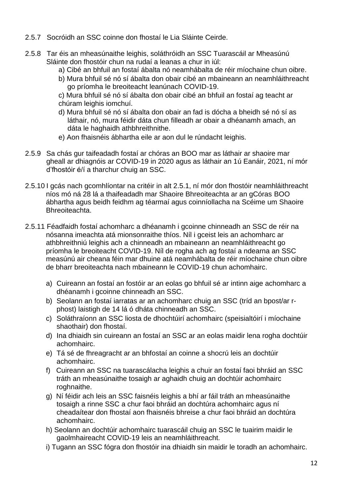- 2.5.7 Socróidh an SSC coinne don fhostaí le Lia Sláinte Ceirde.
- 2.5.8 Tar éis an mheasúnaithe leighis, soláthróidh an SSC Tuarascáil ar Mheasúnú Sláinte don fhostóir chun na rudaí a leanas a chur in iúl:
	- a) Cibé an bhfuil an fostaí ábalta nó neamhábalta de réir míochaine chun oibre.
	- b) Mura bhfuil sé nó sí ábalta don obair cibé an mbaineann an neamhláithreacht go príomha le breoiteacht leanúnach COVID-19.
	- c) Mura bhfuil sé nó sí ábalta don obair cibé an bhfuil an fostaí ag teacht ar chúram leighis iomchuí.
	- d) Mura bhfuil sé nó sí ábalta don obair an fad is dócha a bheidh sé nó sí as láthair, nó, mura féidir dáta chun filleadh ar obair a dhéanamh amach, an dáta le haghaidh athbhreithnithe.
	- e) Aon fhaisnéis ábhartha eile ar aon dul le rúndacht leighis.
- 2.5.9 Sa chás gur taifeadadh fostaí ar chóras an BOO mar as láthair ar shaoire mar gheall ar dhiagnóis ar COVID-19 in 2020 agus as láthair an 1ú Eanáir, 2021, ní mór d'fhostóir é/í a tharchur chuig an SSC.
- 2.5.10 I gcás nach gcomhlíontar na critéir in alt 2.5.1, ní mór don fhostóir neamhláithreacht níos mó ná 28 lá a thaifeadadh mar Shaoire Bhreoiteachta ar an gCóras BOO ábhartha agus beidh feidhm ag téarmaí agus coinníollacha na Scéime um Shaoire Bhreoiteachta.
- 2.5.11 Féadfaidh fostaí achomharc a dhéanamh i gcoinne chinneadh an SSC de réir na nósanna imeachta atá mionsonraithe thíos. Níl i gceist leis an achomharc ar athbhreithniú leighis ach a chinneadh an mbaineann an neamhláithreacht go príomha le breoiteacht COVID-19. Níl de rogha ach ag fostaí a ndearna an SSC measúnú air cheana féin mar dhuine atá neamhábalta de réir míochaine chun oibre de bharr breoiteachta nach mbaineann le COVID-19 chun achomhairc.
	- a) Cuireann an fostaí an fostóir ar an eolas go bhfuil sé ar intinn aige achomharc a dhéanamh i gcoinne chinneadh an SSC.
	- b) Seolann an fostaí iarratas ar an achomharc chuig an SSC (tríd an bpost/ar rphost) laistigh de 14 lá ó dháta chinneadh an SSC.
	- c) Soláthraíonn an SSC liosta de dhochtúirí achomhairc (speisialtóirí i míochaine shaothair) don fhostaí.
	- d) Ina dhiaidh sin cuireann an fostaí an SSC ar an eolas maidir lena rogha dochtúir achomhairc.
	- e) Tá sé de fhreagracht ar an bhfostaí an coinne a shocrú leis an dochtúir achomhairc.
	- f) Cuireann an SSC na tuarascálacha leighis a chuir an fostaí faoi bhráid an SSC tráth an mheasúnaithe tosaigh ar aghaidh chuig an dochtúir achomhairc roghnaithe.
	- g) Ní féidir ach leis an SSC faisnéis leighis a bhí ar fáil tráth an mheasúnaithe tosaigh a rinne SSC a chur faoi bhráid an dochtúra achomhairc agus ní cheadaítear don fhostaí aon fhaisnéis bhreise a chur faoi bhráid an dochtúra achomhairc.
	- h) Seolann an dochtúir achomhairc tuarascáil chuig an SSC le tuairim maidir le gaolmhaireacht COVID-19 leis an neamhláithreacht.
	- i) Tugann an SSC fógra don fhostóir ina dhiaidh sin maidir le toradh an achomhairc.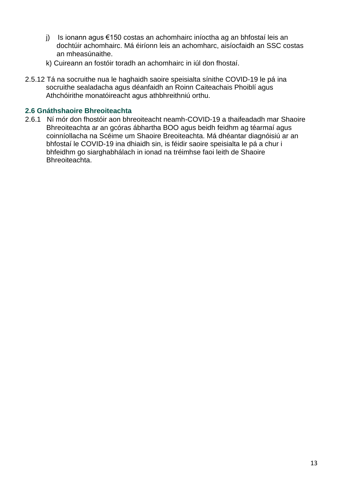- j) Is ionann agus €150 costas an achomhairc iníoctha ag an bhfostaí leis an dochtúir achomhairc. Má éiríonn leis an achomharc, aisíocfaidh an SSC costas an mheasúnaithe.
- k) Cuireann an fostóir toradh an achomhairc in iúl don fhostaí.
- 2.5.12 Tá na socruithe nua le haghaidh saoire speisialta sínithe COVID-19 le pá ina socruithe sealadacha agus déanfaidh an Roinn Caiteachais Phoiblí agus Athchóirithe monatóireacht agus athbhreithniú orthu.

#### <span id="page-12-0"></span>**2.6 Gnáthshaoire Bhreoiteachta**

2.6.1 Ní mór don fhostóir aon bhreoiteacht neamh-COVID-19 a thaifeadadh mar Shaoire Bhreoiteachta ar an gcóras ábhartha BOO agus beidh feidhm ag téarmaí agus coinníollacha na Scéime um Shaoire Breoiteachta. Má dhéantar diagnóisiú ar an bhfostaí le COVID-19 ina dhiaidh sin, is féidir saoire speisialta le pá a chur i bhfeidhm go siarghabhálach in ionad na tréimhse faoi leith de Shaoire Bhreoiteachta.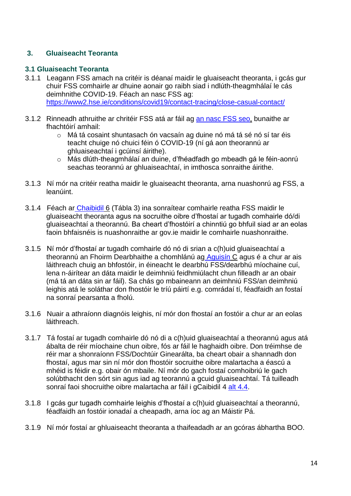## <span id="page-13-3"></span><span id="page-13-2"></span><span id="page-13-0"></span>**3. Gluaiseacht Teoranta**

#### <span id="page-13-1"></span>**3.1 Gluaiseacht Teoranta**

- 3.1.1 Leagann FSS amach na critéir is déanaí maidir le gluaiseacht theoranta, i gcás gur chuir FSS comhairle ar dhuine aonair go raibh siad i ndlúth-theagmhálaí le cás deimhnithe COVID-19. Féach an nasc FSS ag[:](https://www2.hse.ie/conditions/covid19/contact-tracing/close-casual-contact/) <https://www2.hse.ie/conditions/covid19/contact-tracing/close-casual-contact/>
- 3.1.2 Rinneadh athruithe ar chritéir FSS atá ar fáil ag [an nasc FSS seo,](https://www2.hse.ie/conditions/coronavirus/testing/if-you-are-a-close-contact.html) bunaithe ar fhachtóirí amhail:
	- o Má tá cosaint shuntasach ón vacsaín ag duine nó má tá sé nó sí tar éis teacht chuige nó chuici féin ó COVID-19 (ní gá aon theorannú ar ghluaiseachtaí i gcúinsí áirithe).
	- o Más dlúth-theagmhálaí an duine, d'fhéadfadh go mbeadh gá le féin-aonrú seachas teorannú ar ghluaiseachtaí, in imthosca sonraithe áirithe.
- 3.1.3 Ní mór na critéir reatha maidir le gluaiseacht theoranta, arna nuashonrú ag FSS, a leanúint.
- 3.1.4 Féach ar [Chaibidil](#page-21-0) 6 (Tábla 3) ina sonraítear comhairle reatha FSS maidir le gluaiseacht theoranta agus na socruithe oibre d'fhostaí ar tugadh comhairle dó/di gluaiseachtaí a theorannú. Ba cheart d'fhostóirí a chinntiú go bhfuil siad ar an eolas faoin bhfaisnéis is nuashonraithe ar gov.ie maidir le comhairle nuashonraithe.
- 3.1.5 Ní mór d'fhostaí ar tugadh comhairle dó nó di srian a c(h)uid gluaiseachtaí a theorannú an Fhoirm Dearbhaithe a chomhlánú ag [Aguisín](#page-30-0) C agus é a chur ar ais láithreach chuig an bhfostóir, in éineacht le dearbhú FSS/dearbhú míochaine cuí, lena n-áirítear an dáta maidir le deimhniú feidhmiúlacht chun filleadh ar an obair (má tá an dáta sin ar fáil). Sa chás go mbaineann an deimhniú FSS/an deimhniú leighis atá le soláthar don fhostóir le tríú páirtí e.g. comrádaí tí, féadfaidh an fostaí na sonraí pearsanta a fholú.
- 3.1.6 Nuair a athraíonn diagnóis leighis, ní mór don fhostaí an fostóir a chur ar an eolas láithreach.
- 3.1.7 Tá fostaí ar tugadh comhairle dó nó di a c(h)uid gluaiseachtaí a theorannú agus atá ábalta de réir míochaine chun oibre, fós ar fáil le haghaidh oibre. Don tréimhse de réir mar a shonraíonn FSS/Dochtúir Ginearálta, ba cheart obair a shannadh don fhostaí, agus mar sin ní mór don fhostóir socruithe oibre malartacha a éascú a mhéid is féidir e.g. obair ón mbaile. Ní mór do gach fostaí comhoibriú le gach solúbthacht den sórt sin agus iad ag teorannú a gcuid gluaiseachtaí. Tá tuilleadh sonraí faoi shocruithe oibre malartacha ar fáil i gCaibidil 4 alt 4.4.
- 3.1.8 I gcás gur tugadh comhairle leighis d'fhostaí a c(h)uid gluaiseachtaí a theorannú, féadfaidh an fostóir ionadaí a cheapadh, arna íoc ag an Máistir Pá.
- 3.1.9 Ní mór fostaí ar ghluaiseacht theoranta a thaifeadadh ar an gcóras ábhartha BOO.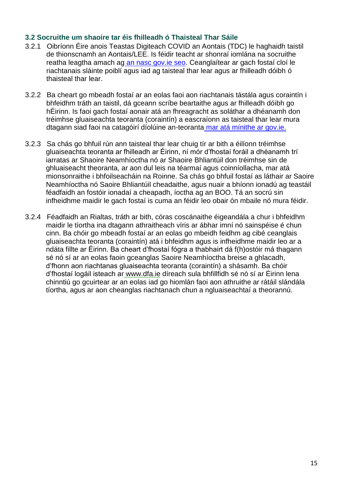### <span id="page-14-1"></span><span id="page-14-0"></span>**3.2 Socruithe um shaoire tar éis fhilleadh ó Thaisteal Thar Sáile**

- 3.2.1 Oibríonn Éire anois Teastas Digiteach COVID an Aontais (TDC) le haghaidh taistil de thionscnamh an Aontais/LEE. Is féidir teacht ar shonraí iomlána na socruithe reatha leagtha amach ag [an nasc gov.ie seo.](https://www.gov.ie/en/publication/3a698-eu-digital-covid-certificate/) Ceanglaítear ar gach fostaí cloí le riachtanais sláinte poiblí agus iad ag taisteal thar lear agus ar fhilleadh dóibh ó thaisteal thar lear.
- 3.2.2 Ba cheart go mbeadh fostaí ar an eolas faoi aon riachtanais tástála agus coraintín i bhfeidhm tráth an taistil, dá gceann scríbe beartaithe agus ar fhilleadh dóibh go hÉirinn. Is faoi gach fostaí aonair atá an fhreagracht as soláthar a dhéanamh don tréimhse gluaiseachta teoranta (coraintín) a eascraíonn as taisteal thar lear mura dtagann siad faoi na catagóirí díolúine an-teoranta [mar atá mínithe ar gov.ie.](https://www.gov.ie/en/publication/b4020-travelling-to-ireland-during-the-covid-19-pandemic/)
- 3.2.3 Sa chás go bhfuil rún ann taisteal thar lear chuig tír ar bith a éilíonn tréimhse gluaiseachta teoranta ar fhilleadh ar Éirinn, ní mór d'fhostaí foráil a dhéanamh trí iarratas ar Shaoire Neamhíoctha nó ar Shaoire Bhliantúil don tréimhse sin de ghluaiseacht theoranta, ar aon dul leis na téarmaí agus coinníollacha, mar atá mionsonraithe i bhfoilseacháin na Roinne. Sa chás go bhfuil fostaí as láthair ar Saoire Neamhíoctha nó Saoire Bhliantúil cheadaithe, agus nuair a bhíonn ionadú ag teastáil féadfaidh an fostóir ionadaí a cheapadh, íoctha ag an BOO. Tá an socrú sin infheidhme maidir le gach fostaí is cuma an féidir leo obair ón mbaile nó mura féidir.
- 3.2.4 Féadfaidh an Rialtas, tráth ar bith, córas coscánaithe éigeandála a chur i bhfeidhm maidir le tíortha ina dtagann athraitheach víris ar ábhar imní nó sainspéise é chun cinn. Ba chóir go mbeadh fostaí ar an eolas go mbeidh feidhm ag cibé ceanglais gluaiseachta teoranta (coraintín) atá i bhfeidhm agus is infheidhme maidir leo ar a ndáta fillte ar Éirinn. Ba cheart d'fhostaí fógra a thabhairt dá f(h)ostóir má thagann sé nó sí ar an eolas faoin gceanglas Saoire Neamhíoctha breise a ghlacadh, d'fhonn aon riachtanas gluaiseachta teoranta (coraintín) a shásamh. Ba chóir d'fhostaí logáil isteach ar [www.dfa.ie](http://www.dfa.ie/) díreach sula bhfillfidh sé nó sí ar Éirinn lena chinntiú go gcuirtear ar an eolas iad go hiomlán faoi aon athruithe ar rátáil slándála tíortha, agus ar aon cheanglas riachtanach chun a ngluaiseachtaí a theorannú.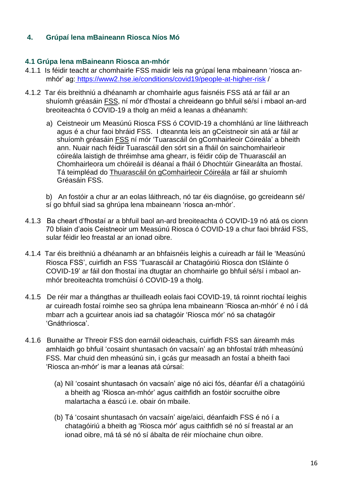## <span id="page-15-3"></span><span id="page-15-0"></span>**4. Grúpaí lena mBaineann Riosca Níos Mó**

## <span id="page-15-2"></span><span id="page-15-1"></span>**4.1 Grúpa lena mBaineann Riosca an-mhór**

- 4.1.1 Is féidir teacht ar chomhairle FSS maidir leis na grúpaí lena mbaineann 'riosca anmhór' ag: <https://www2.hse.ie/conditions/covid19/people-at-higher-risk> /
- 4.1.2 Tar éis breithniú a dhéanamh ar chomhairle agus faisnéis FSS atá ar fáil ar a[n](https://www.medmark.ie/teachersna/covid-risk-assessment/) shuíomh gréasáin [FSS,](https://www.medmark.ie/teachersna/covid-risk-assessment/) ní mór d'fhostaí a chreideann go bhfuil sé/sí i mbaol an-ard breoiteachta ó COVID-19 a tholg an méid a leanas a dhéanamh:
	- a) Ceistneoir um Measúnú Riosca FSS ó COVID-19 a chomhlánú ar líne láithreach agus é a chur faoi bhráid FSS. I dteannta leis an gCeistneoir sin atá ar fáil ar shuíomh gréasáin [FSS](https://www.medmark.ie/teachersna/covid-risk-assessment/) ní mór 'Tuarascáil ón gComhairleoir Cóireála' a bheith ann. Nuair nach féidir Tuarascáil den sórt sin a fháil ón sainchomhairleoir cóireála laistigh de thréimhse ama ghearr, is féidir cóip de Thuarascáil an Chomhairleora um chóireáil is déanaí a fháil ó Dhochtúir Ginearálta an fhostaí. Tá teimpléad do [Thuarascáil ón gComhairleoir Cóireála](https://www.medmark.ie/teachersna/covid-risk-assessment/assets/Covid19-Consultant-Report.pdf) ar fáil ar shuíomh Gréasáin FSS.
	- b) An fostóir a chur ar an eolas láithreach, nó tar éis diagnóise, go gcreideann sé/ sí go bhfuil siad sa ghrúpa lena mbaineann 'riosca an-mhór'.
- 4.1.3 Ba cheart d'fhostaí ar a bhfuil baol an-ard breoiteachta ó COVID-19 nó atá os cionn 70 bliain d'aois Ceistneoir um Measúnú Riosca ó COVID-19 a chur faoi bhráid FSS, sular féidir leo freastal ar an ionad oibre.
- 4.1.4 Tar éis breithniú a dhéanamh ar an bhfaisnéis leighis a cuireadh ar fáil le 'Measúnú Riosca FSS', cuirfidh an FSS 'Tuarascáil ar Chatagóiriú Riosca don tSláinte ó COVID-19' ar fáil don fhostaí ina dtugtar an chomhairle go bhfuil sé/sí i mbaol anmhór breoiteachta tromchúisí ó COVID-19 a tholg.
- 4.1.5 De réir mar a thángthas ar thuilleadh eolais faoi COVID-19, tá roinnt riochtaí leighis ar cuireadh fostaí roimhe seo sa ghrúpa lena mbaineann 'Riosca an-mhór' é nó í dá mbarr ach a gcuirtear anois iad sa chatagóir 'Riosca mór' nó sa chatagóir 'Gnáthriosca'.
- 4.1.6 Bunaithe ar Threoir FSS don earnáil oideachais, cuirfidh FSS san áireamh más amhlaidh go bhfuil 'cosaint shuntasach ón vacsaín' ag an bhfostaí tráth mheasúnú FSS. Mar chuid den mheasúnú sin, i gcás gur measadh an fostaí a bheith faoi 'Riosca an-mhór' is mar a leanas atá cúrsaí:
	- (a) Níl 'cosaint shuntasach ón vacsaín' aige nó aici fós, déanfar é/í a chatagóiriú a bheith ag 'Riosca an-mhór' agus caithfidh an fostóir socruithe oibre malartacha a éascú i.e. obair ón mbaile.
	- (b) Tá 'cosaint shuntasach ón vacsaín' aige/aici, déanfaidh FSS é nó í a chatagóiriú a bheith ag 'Riosca mór' agus caithfidh sé nó sí freastal ar an ionad oibre, má tá sé nó sí ábalta de réir míochaine chun oibre.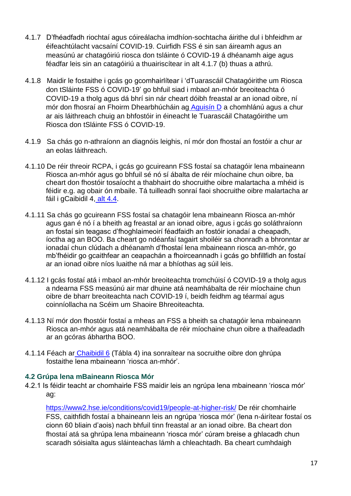- 4.1.7 D'fhéadfadh riochtaí agus cóireálacha imdhíon-sochtacha áirithe dul i bhfeidhm ar éifeachtúlacht vacsaíní COVID-19. Cuirfidh FSS é sin san áireamh agus an measúnú ar chatagóiriú riosca don tsláinte ó COVID-19 á dhéanamh aige agus féadfar leis sin an catagóiriú a thuairiscítear in alt 4.1.7 (b) thuas a athrú.
- 4.1.8 Maidir le fostaithe i gcás go gcomhairlítear i 'dTuarascáil Chatagóirithe um Riosca don tSláinte FSS ó COVID-19' go bhfuil siad i mbaol an-mhór breoiteachta ó COVID-19 a tholg agus dá bhrí sin nár cheart dóibh freastal ar an ionad oibre, ní mór don fhosraí an Fhoirm Dhearbhúcháin ag [Aguisín D](#page-32-1) a chomhlánú agus a chur ar ais láithreach chuig an bhfostóir in éineacht le Tuarascáil Chatagóirithe um Riosca don tSláinte FSS ó COVID-19.
- 4.1.9 Sa chás go n-athraíonn an diagnóis leighis, ní mór don fhostaí an fostóir a chur ar an eolas láithreach.
- 4.1.10 De réir threoir RCPA, i gcás go gcuireann FSS fostaí sa chatagóir lena mbaineann Riosca an-mhór agus go bhfuil sé nó sí ábalta de réir míochaine chun oibre, ba cheart don fhostóir tosaíocht a thabhairt do shocruithe oibre malartacha a mhéid is féidir e.g. ag obair ón mbaile. Tá tuilleadh sonraí faoi shocruithe oibre malartacha ar fáil i gCaibidil 4, alt [4.4.](#page-19-2)
- <span id="page-16-1"></span>4.1.11 Sa chás go gcuireann FSS fostaí sa chatagóir lena mbaineann Riosca an-mhór agus gan é nó í a bheith ag freastal ar an ionad oibre, agus i gcás go soláthraíonn an fostaí sin teagasc d'fhoghlaimeoirí féadfaidh an fostóir ionadaí a cheapadh, íoctha ag an BOO. Ba cheart go ndéanfaí tagairt shoiléir sa chonradh a bhronntar ar ionadaí chun clúdach a dhéanamh d'fhostaí lena mbaineann riosca an-mhór, go mb'fhéidir go gcaithfear an ceapachán a fhoirceannadh i gcás go bhfillfidh an fostaí ar an ionad oibre níos luaithe ná mar a bhíothas ag súil leis.
- 4.1.12 I gcás fostaí atá i mbaol an-mhór breoiteachta tromchúisí ó COVID-19 a tholg agus a ndearna FSS measúnú air mar dhuine atá neamhábalta de réir míochaine chun oibre de bharr breoiteachta nach COVID-19 í, beidh feidhm ag téarmaí agus coinníollacha na Scéim um Shaoire Bhreoiteachta.
- 4.1.13 Ní mór don fhostóir fostaí a mheas an FSS a bheith sa chatagóir lena mbaineann Riosca an-mhór agus atá neamhábalta de réir míochaine chun oibre a thaifeadadh ar an gcóras ábhartha BOO.
- 4.1.14 Féach ar [Chaibidil 6](#page-24-0) (Tábla 4) ina sonraítear na socruithe oibre don ghrúpa fostaithe lena mbaineann 'riosca an-mhór'.

#### <span id="page-16-0"></span>**4.2 Grúpa lena mBaineann Riosca Mór**

4.2.1 Is féidir teacht ar chomhairle FSS maidir leis an ngrúpa lena mbaineann 'riosca mór' ag:

<https://www2.hse.ie/conditions/covid19/people-at-higher-risk/> De réir chomhairle FSS, caithfidh fostaí a bhaineann leis an ngrúpa 'riosca mór' (lena n-áirítear fostaí os cionn 60 bliain d'aois) nach bhfuil tinn freastal ar an ionad oibre. Ba cheart don fhostaí atá sa ghrúpa lena mbaineann 'riosca mór' cúram breise a ghlacadh chun scaradh sóisialta agus sláinteachas lámh a chleachtadh. Ba cheart cumhdaigh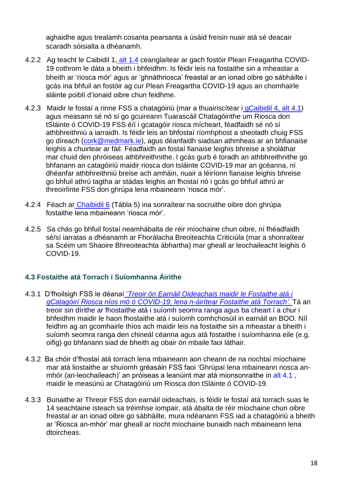<span id="page-17-1"></span>aghaidhe agus trealamh cosanta pearsanta a úsáid freisin nuair atá sé deacair scaradh sóisialta a dhéanamh.

- 4.2.2 Ag teacht le Caibidil 1, alt [1.4](#page-4-4) ceanglaítear ar gach fostóir Plean Freagartha COVID-19 cothrom le dáta a bheith i bhfeidhm. Is féidir leis na fostaithe sin a mheastar a bheith ar 'riosca mór' agus ar 'ghnáthriosca' freastal ar an ionad oibre go sábháilte i gcás ina bhfuil an fostóir ag cur Plean Freagartha COVID-19 agus an chomhairle sláinte poiblí d'ionaid oibre chun feidhme.
- 4.2.3 Maidir le fostaí a rinne FSS a chatagóiriú (mar a thuairiscítear i [gCaibidil 4,](#page-15-2) alt 4.1) agus measann sé nó sí go gcuireann Tuarascáil Chatagóirithe um Riosca don tSláinte ó COVID-19 FSS é/í i gcatagóir riosca mícheart, féadfaidh sé nó sí athbhreithniú a iarraidh. Is féidir leis an bhfostaí ríomhphost a sheoladh chuig FSS go díreach [\(cork@medmark.ie\)](mailto:cork@medmark.ie), agus déanfaidh siadsan athmheas ar an bhfianaise leighis a chuirtear ar fáil. Féadfaidh an fostaí fianaise leighis bhreise a sholáthar mar chuid den phróiseas athbhreithnithe. I gcás gurb é toradh an athbhreithnithe go bhfanann an catagóiriú maidir riosca don tsláinte COVID-19 mar an gcéanna, ní dhéanfar athbhreithniú breise ach amháin, nuair a léiríonn fianaise leighis bhreise go bhfuil athrú tagtha ar stádas leighis an fhostaí nó i gcás go bhfuil athrú ar threoirlínte FSS don ghrúpa lena mbaineann 'riosca mór'.
- 4.2.4 Féach ar [Chaibidil 6](#page-25-0) (Tábla 5) ina sonraítear na socruithe oibre don ghrúpa fostaithe lena mbaineann 'riosca mór'.
- 4.2.5 Sa chás go bhfuil fostaí neamhábalta de réir míochaine chun oibre, ní fhéadfaidh sé/sí iarratas a dhéanamh ar Fhorálacha Breoiteachta Criticiúla (mar a shonraítear sa Scéim um Shaoire Bhreoiteachta ábhartha) mar gheall ar leochaileacht leighis ó COVID-19.

## <span id="page-17-0"></span>**4.3 Fostaithe atá Torrach i Suíomhanna Áirithe**

- 4.3.1 D'fhoilsigh FSS le déanaí '*[Treoir ón Earnáil Oideachais maidir le](https://hse.drsteevenslibrary.ie/ld.php?content_id=33711034) Fostaithe atá i [gCatagóirí Riosca níos mó ó COVID-19, lena n-áirítear Fostaithe](https://hse.drsteevenslibrary.ie/ld.php?content_id=33711034) atá Torrach'.* Tá an treoir sin dírithe ar fhostaithe atá i suíomh seomra ranga agus ba cheart í a chur i bhfeidhm maidir le haon fhostaithe atá i suíomh comhchosúil in earnáil an BOO. Níl feidhm ag an gcomhairle thíos ach maidir leis na fostaithe sin a mheastar a bheith i suíomh seomra ranga den chineál céanna agus atá fostaithe i suíomhanna eile (e.g. oifig) go bhfanann siad de bheith ag obair ón mbaile faoi láthair.
- 4.3.2 Ba chóir d'fhostaí atá torrach lena mbaineann aon cheann de na riochtaí míochaine mar atá liostaithe ar shuíomh gréasáin FSS faoi 'Ghrúpaí lena mbaineann riosca an-mhór (an-leochaileach)' an próiseas a leanúint mar atá mionsonraithe in alt [4.1](#page-15-2), maidir le measúnú ar Chatagóiriú um Riosca don tSláinte ó COVID-19.
- 4.3.3 Bunaithe ar Threoir FSS don earnáil oideachais, is féidir le fostaí atá torrach suas le 14 seachtaine isteach sa tréimhse iompair, atá ábalta de réir míochaine chun oibre freastal ar an ionad oibre go sábháilte, mura ndéanann FSS iad a chatagóiriú a bheith ar 'Riosca an-mhór' mar gheall ar riocht míochaine bunaidh nach mbaineann lena dtoircheas.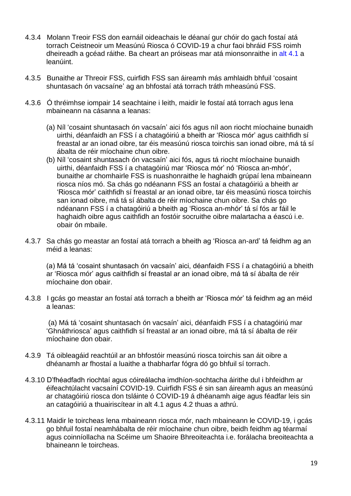- 4.3.4 Molann Treoir FSS don earnáil oideachais le déanaí gur chóir do gach fostaí atá torrach Ceistneoir um Measúnú Riosca ó COVID-19 a chur faoi bhráid FSS roimh dheireadh a gcéad ráithe. Ba cheart an próiseas mar atá mionsonraithe in alt [4.1](#page-15-2) a leanúint.
- 4.3.5 Bunaithe ar Threoir FSS, cuirfidh FSS san áireamh más amhlaidh bhfuil 'cosaint shuntasach ón vacsaíne' ag an bhfostaí atá torrach tráth mheasúnú FSS.
- 4.3.6 Ó thréimhse iompair 14 seachtaine i leith, maidir le fostaí atá torrach agus lena mbaineann na cásanna a leanas:
	- (a) Níl 'cosaint shuntasach ón vacsaín' aici fós agus níl aon riocht míochaine bunaidh uirthi, déanfaidh an FSS í a chatagóiriú a bheith ar 'Riosca mór' agus caithfidh sí freastal ar an ionad oibre, tar éis measúnú riosca toirchis san ionad oibre, má tá sí ábalta de réir míochaine chun oibre.
	- (b) Níl 'cosaint shuntasach ón vacsaín' aici fós, agus tá riocht míochaine bunaidh uirthi, déanfaidh FSS í a chatagóiriú mar 'Riosca mór' nó 'Riosca an-mhór', bunaithe ar chomhairle FSS is nuashonraithe le haghaidh grúpaí lena mbaineann riosca níos mó. Sa chás go ndéanann FSS an fostaí a chatagóiriú a bheith ar 'Riosca mór' caithfidh sí freastal ar an ionad oibre, tar éis measúnú riosca toirchis san ionad oibre, má tá sí ábalta de réir míochaine chun oibre. Sa chás go ndéanann FSS í a chatagóiriú a bheith ag 'Riosca an-mhór' tá sí fós ar fáil le haghaidh oibre agus caithfidh an fostóir socruithe oibre malartacha a éascú i.e. obair ón mbaile.
- 4.3.7 Sa chás go meastar an fostaí atá torrach a bheith ag 'Riosca an-ard' tá feidhm ag an méid a leanas:

(a) Má tá 'cosaint shuntasach ón vacsaín' aici, déanfaidh FSS í a chatagóiriú a bheith ar 'Riosca mór' agus caithfidh sí freastal ar an ionad oibre, má tá sí ábalta de réir míochaine don obair.

4.3.8 I gcás go meastar an fostaí atá torrach a bheith ar 'Riosca mór' tá feidhm ag an méid a leanas:

(a) Má tá 'cosaint shuntasach ón vacsaín' aici, déanfaidh FSS í a chatagóiriú mar 'Ghnáthriosca' agus caithfidh sí freastal ar an ionad oibre, má tá sí ábalta de réir míochaine don obair.

- 4.3.9 Tá oibleagáid reachtúil ar an bhfostóir measúnú riosca toirchis san áit oibre a dhéanamh ar fhostaí a luaithe a thabharfar fógra dó go bhfuil sí torrach.
- 4.3.10 D'fhéadfadh riochtaí agus cóireálacha imdhíon-sochtacha áirithe dul i bhfeidhm ar éifeachtúlacht vacsaíní COVID-19. Cuirfidh FSS é sin san áireamh agus an measúnú ar chatagóiriú riosca don tsláinte ó COVID-19 á dhéanamh aige agus féadfar leis sin an catagóiriú a thuairiscítear in alt 4.1 agus 4.2 thuas a athrú.
- 4.3.11 Maidir le toircheas lena mbaineann riosca mór, nach mbaineann le COVID-19, i gcás go bhfuil fostaí neamhábalta de réir míochaine chun oibre, beidh feidhm ag téarmaí agus coinníollacha na Scéime um Shaoire Bhreoiteachta i.e. forálacha breoiteachta a bhaineann le toircheas.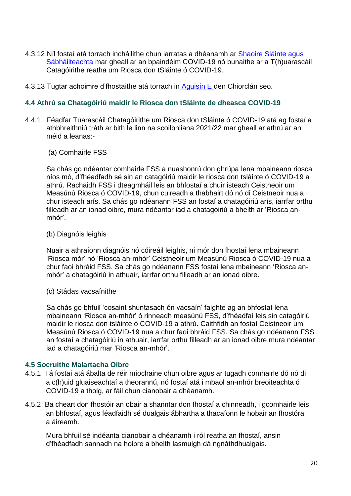- 4.3.12 Níl fostaí atá torrach incháilithe chun iarratas a dhéanamh ar [Shaoire Sláinte agus](https://www.education.ie/en/Circulars-and-Forms/Active-Circulars/cl0054_2019.pdf)  [Sábháilteachta](https://www.education.ie/en/Circulars-and-Forms/Active-Circulars/cl0054_2019.pdf) mar gheall ar an bpaindéim COVID-19 nó bunaithe ar a T(h)uarascáil Catagóirithe reatha um Riosca don tSláinte ó COVID-19.
- 4.3.13 Tugtar achoimre d'fhostaithe atá torrach in Aguisín E den Chiorclán seo.

#### <span id="page-19-0"></span>**4.4 Athrú sa Chatagóiriú maidir le Riosca don tSláinte de dheasca COVID-19**

- 4.4.1 Féadfar Tuarascáil Chatagóirithe um Riosca don tSláinte ó COVID-19 atá ag fostaí a athbhreithniú tráth ar bith le linn na scoilbhliana 2021/22 mar gheall ar athrú ar an méid a leanas:-
	- (a) Comhairle FSS

Sa chás go ndéantar comhairle FSS a nuashonrú don ghrúpa lena mbaineann riosca níos mó, d'fhéadfadh sé sin an catagóiriú maidir le riosca don tsláinte ó COVID-19 a athrú. Rachaidh FSS i dteagmháil leis an bhfostaí a chuir isteach Ceistneoir um Measúnú Riosca ó COVID-19, chun cuireadh a thabhairt dó nó di Ceistneoir nua a chur isteach arís. Sa chás go ndéanann FSS an fostaí a chatagóiriú arís, iarrfar orthu filleadh ar an ionad oibre, mura ndéantar iad a chatagóiriú a bheith ar 'Riosca anmhór'.

#### <span id="page-19-3"></span>(b) Diagnóis leighis

Nuair a athraíonn diagnóis nó cóireáil leighis, ní mór don fhostaí lena mbaineann 'Riosca mór' nó 'Riosca an-mhór' Ceistneoir um Measúnú Riosca ó COVID-19 nua a chur faoi bhráid FSS. Sa chás go ndéanann FSS fostaí lena mbaineann 'Riosca anmhór' a chatagóiriú in athuair, iarrfar orthu filleadh ar an ionad oibre.

(c) Stádas vacsaínithe

Sa chás go bhfuil 'cosaint shuntasach ón vacsaín' faighte ag an bhfostaí lena mbaineann 'Riosca an-mhór' ó rinneadh measúnú FSS, d'fhéadfaí leis sin catagóiriú maidir le riosca don tsláinte ó COVID-19 a athrú. Caithfidh an fostaí Ceistneoir um Measúnú Riosca ó COVID-19 nua a chur faoi bhráid FSS. Sa chás go ndéanann FSS an fostaí a chatagóiriú in athuair, iarrfar orthu filleadh ar an ionad oibre mura ndéantar iad a chatagóiriú mar 'Riosca an-mhór'.

#### <span id="page-19-2"></span><span id="page-19-1"></span>**4.5 Socruithe Malartacha Oibre**

- 4.5.1 Tá fostaí atá ábalta de réir míochaine chun oibre agus ar tugadh comhairle dó nó di a c(h)uid gluaiseachtaí a theorannú, nó fostaí atá i mbaol an-mhór breoiteachta ó COVID-19 a tholg, ar fáil chun cianobair a dhéanamh.
- 4.5.2 Ba cheart don fhostóir an obair a shanntar don fhostaí a chinneadh, i gcomhairle leis an bhfostaí, agus féadfaidh sé dualgais ábhartha a thacaíonn le hobair an fhostóra a áireamh.

Mura bhfuil sé indéanta cianobair a dhéanamh i ról reatha an fhostaí, ansin d'fhéadfadh sannadh na hoibre a bheith lasmuigh dá ngnáthdhualgais.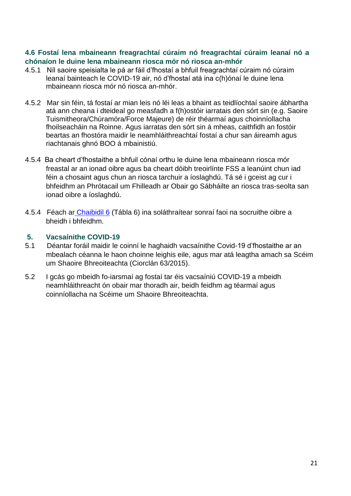#### <span id="page-20-2"></span><span id="page-20-0"></span>**4.6 Fostaí lena mbaineann freagrachtaí cúraim nó freagrachtaí cúraim leanaí nó a chónaíon le duine lena mbaineann riosca mór nó riosca an-mhór**

- 4.5.1 Níl saoire speisialta le pá ar fáil d'fhostaí a bhfuil freagrachtaí cúraim nó cúraim leanaí bainteach le COVID-19 air, nó d'fhostaí atá ina c(h)ónaí le duine lena mbaineann riosca mór nó riosca an-mhór.
- 4.5.2 Mar sin féin, tá fostaí ar mian leis nó léi leas a bhaint as teidlíochtaí saoire ábhartha atá ann cheana i dteideal go measfadh a f(h)ostóir iarratais den sórt sin (e.g. Saoire Tuismitheora/Chúramóra/Force Majeure) de réir théarmaí agus choinníollacha fhoilseacháin na Roinne. Agus iarratas den sórt sin á mheas, caithfidh an fostóir beartas an fhostóra maidir le neamhláithreachtaí fostaí a chur san áireamh agus riachtanais ghnó BOO á mbainistiú.
- 4.5.4 Ba cheart d'fhostaithe a bhfuil cónaí orthu le duine lena mbaineann riosca mór freastal ar an ionad oibre agus ba cheart dóibh treoirlínte FSS a leanúint chun iad féin a chosaint agus chun an riosca tarchuir a íoslaghdú. Tá sé i gceist ag cur i bhfeidhm an Phrótacail um Fhilleadh ar Obair go Sábháilte an riosca tras-seolta san ionad oibre a íoslaghdú.
- 4.5.4 Féach ar [Chaibidil 6](#page-25-1) (Tábla 6) ina soláthraítear sonraí faoi na socruithe oibre a bheidh i bhfeidhm.

#### <span id="page-20-1"></span>**5. Vacsaínithe COVID-19**

- 5.1 Déantar foráil maidir le coinní le haghaidh vacsaínithe Covid-19 d'fhostaithe ar an mbealach céanna le haon choinne leighis eile, agus mar atá leagtha amach sa Scéim um Shaoire Bhreoiteachta (Ciorclán 63/2015).
- 5.2 I gcás go mbeidh fo-iarsmaí ag fostaí tar éis vacsaíniú COVID-19 a mbeidh neamhláithreacht ón obair mar thoradh air, beidh feidhm ag téarmaí agus coinníollacha na Scéime um Shaoire Bhreoiteachta.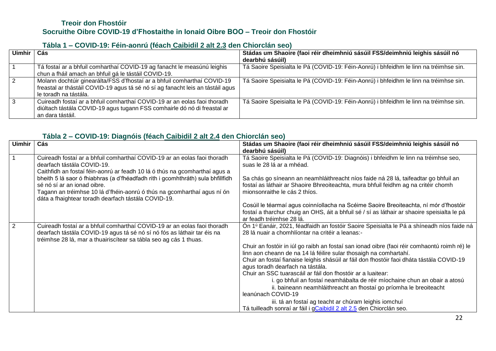#### **Treoir don Fhostóir Socruithe Oibre COVID-19 d'Fhostaithe in Ionaid Oibre BOO – Treoir don Fhostóir**

#### **Tábla 1 – COVID-19: Féin-aonrú (féach [Caibidil 2 alt](#page-8-1) 2.3 den Chiorclán seo)**

| Uimhir | Cás                                                                                                                                                                                 | Stádas um Shaoire (faoi réir dheimhniú sásúil FSS/deimhniú leighis sásúil nó<br>dearbhú sásúil) |
|--------|-------------------------------------------------------------------------------------------------------------------------------------------------------------------------------------|-------------------------------------------------------------------------------------------------|
|        | Tá fostaí ar a bhfuil comharthaí COVID-19 ag fanacht le measúnú leighis<br>chun a fháil amach an bhfuil gá le tástáil COVID-19.                                                     | Tá Saoire Speisialta le Pá (COVID-19: Féin-Aonrú) i bhfeidhm le linn na tréimhse sin.           |
|        | Molann dochtúir ginearálta/FSS d'fhostaí ar a bhfuil comharthaí COVID-19<br>freastal ar thástáil COVID-19 agus tá sé nó sí ag fanacht leis an tástáil agus<br>le toradh na tástála. | Tá Saoire Speisialta le Pá (COVID-19: Féin-Aonrú) i bhfeidhm le linn na tréimhse sin.           |
|        | Cuireadh fostaí ar a bhfuil comharthaí COVID-19 ar an eolas faoi thoradh<br>diúltach tástála COVID-19 agus tugann FSS comhairle dó nó di freastal ar<br>an dara tástáil.            | Tá Saoire Speisialta le Pá (COVID-19: Féin-Aonrú) i bhfeidhm le linn na tréimhse sin.           |

#### <span id="page-21-0"></span>**Tábla 2 – COVID-19: Diagnóis (féach [Caibidil 2 alt](#page-9-1) 2.4 den Chiorclán seo)**

| <b>Uimhir</b>  | Cás                                                                                                                                          | Stádas um Shaoire (faoi réir dheimhniú sásúil FSS/deimhniú leighis sásúil nó                                                                                              |
|----------------|----------------------------------------------------------------------------------------------------------------------------------------------|---------------------------------------------------------------------------------------------------------------------------------------------------------------------------|
|                |                                                                                                                                              | dearbhú sásúil)                                                                                                                                                           |
|                | Cuireadh fostaí ar a bhfuil comharthaí COVID-19 ar an eolas faoi thoradh                                                                     | Tá Saoire Speisialta le Pá (COVID-19: Diagnóis) i bhfeidhm le linn na tréimhse seo,                                                                                       |
|                | dearfach tástála COVID-19.                                                                                                                   | suas le 28 lá ar a mhéad.                                                                                                                                                 |
|                | Caithfidh an fostaí féin-aonrú ar feadh 10 lá ó thús na gcomharthaí agus a                                                                   |                                                                                                                                                                           |
|                | bheith 5 lá saor ó fhiabhras (a d'fhéadfadh rith i gcomhthráth) sula bhfillfidh<br>sé nó sí ar an ionad oibre.                               | Sa chás go síneann an neamhláithreacht níos faide ná 28 lá, taifeadtar go bhfuil an<br>fostaí as láthair ar Shaoire Bhreoiteachta, mura bhfuil feidhm ag na critéir chomh |
|                | Tagann an tréimhse 10 lá d'fhéin-aonrú ó thús na gcomharthaí agus ní ón                                                                      | mionsonraithe le cás 2 thíos.                                                                                                                                             |
|                | dáta a fhaightear toradh dearfach tástála COVID-19.                                                                                          |                                                                                                                                                                           |
|                |                                                                                                                                              | Cosúil le téarmaí agus coinníollacha na Scéime Saoire Breoiteachta, ní mór d'fhostóir                                                                                     |
|                |                                                                                                                                              | fostaí a tharchur chuig an OHS, áit a bhfuil sé / sí as láthair ar shaoire speisialta le pá                                                                               |
|                |                                                                                                                                              | ar feadh tréimhse 28 lá.                                                                                                                                                  |
| $\overline{2}$ | Cuireadh fostaí ar a bhfuil comharthaí COVID-19 ar an eolas faoi thoradh                                                                     | On 1 <sup>ú</sup> Eanáir, 2021, féadfaidh an fostóir Saoire Speisialta le Pá a shíneadh níos faide ná                                                                     |
|                | dearfach tástála COVID-19 agus tá sé nó sí nó fós as láthair tar éis na<br>tréimhse 28 lá, mar a thuairiscítear sa tábla seo ag cás 1 thuas. | 28 lá nuair a chomhlíontar na critéir a leanas:-                                                                                                                          |
|                |                                                                                                                                              | Chuir an fostóir in iúl go raibh an fostaí san ionad oibre (faoi réir comhaontú roimh ré) le                                                                              |
|                |                                                                                                                                              | linn aon cheann de na 14 lá féilire sular thosaigh na comhartahí.                                                                                                         |
|                |                                                                                                                                              | Chuir an fostaí fianaise leighis shásúil ar fáil don fhostóir faoi dháta tástála COVID-19                                                                                 |
|                |                                                                                                                                              | agus toradh dearfach na tástála.                                                                                                                                          |
|                |                                                                                                                                              | Chuir an SSC tuarascáil ar fáil don fhostóir ar a luaitear:                                                                                                               |
|                |                                                                                                                                              | i. go bhfuil an fostaí neamhábalta de réir míochaine chun an obair a atosú                                                                                                |
|                |                                                                                                                                              | ii. baineann neamhláithreacht an fhostaí go príomha le breoiteacht                                                                                                        |
|                |                                                                                                                                              | leanúnach COVID-19                                                                                                                                                        |
|                |                                                                                                                                              | iii. tá an fostaí ag teacht ar chúram leighis iomchuí                                                                                                                     |
|                |                                                                                                                                              | Tá tuilleadh sonraí ar fáil i gCaibidil 2 alt 2.5 den Chiorclán seo.                                                                                                      |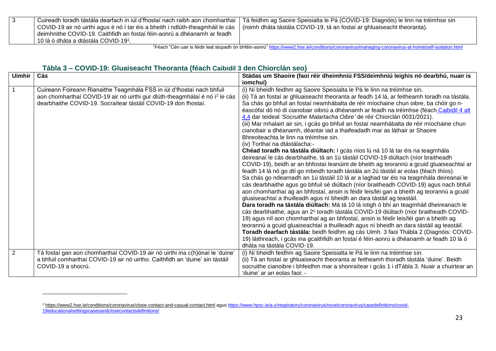| Cuireadh toradh tástála dearfach in iúl d'fhostaí nach raibh aon chomharthaí   | Tá feidhm ag Saoire Speisialta le Pá (COVID-19: Diagnóis) le linn na tréimhse sin |
|--------------------------------------------------------------------------------|-----------------------------------------------------------------------------------|
| COVID-19 air nó uirthi agus é nó í tar éis a bheith i ndlúth-theagmháil le cás | (roimh dháta tástála COVID-19, tá an fostaí ar ghluaiseacht theoranta).           |
| deimhnithe COVID-19. Caithfidh an fostaí féin-aonrú a dhéanamh ar feadh        |                                                                                   |
| 10 lá ó dháta a dtástála COVID-191.                                            |                                                                                   |

<sup>1</sup>Féach "Cén uair is féidir leat stopadh ón bhféin-aonrú[" https://www2.hse.ie/conditions/coronavirus/managing-coronavirus-at-home/self-isolation.html](https://www2.hse.ie/conditions/coronavirus/managing-coronavirus-at-home/self-isolation.html)

#### **Tábla 3 – COVID-19: Gluaiseacht Theoranta (féach [Caibidil 3](#page-13-2) den Chiorclán seo)**

<span id="page-22-0"></span> $\overline{\phantom{a}}$ 

| <b>Uimhir</b> | Cás                                                                                                                                                                                                                                 | Stádas um Shaoire (faoi réir dheimhniú FSS/deimhniú leighis nó dearbhú, nuair is                                                                                                                                                                                                                                                                                                                                                                                                                                                                                                                                                                                                                                  |
|---------------|-------------------------------------------------------------------------------------------------------------------------------------------------------------------------------------------------------------------------------------|-------------------------------------------------------------------------------------------------------------------------------------------------------------------------------------------------------------------------------------------------------------------------------------------------------------------------------------------------------------------------------------------------------------------------------------------------------------------------------------------------------------------------------------------------------------------------------------------------------------------------------------------------------------------------------------------------------------------|
|               |                                                                                                                                                                                                                                     | iomchuí)                                                                                                                                                                                                                                                                                                                                                                                                                                                                                                                                                                                                                                                                                                          |
|               | Cuireann Foireann Rianaithe Teagmhála FSS in iúl d'fhostaí nach bhfuil<br>aon chomharthaí COVID-19 air nó uirthi gur dlúth-theagmhálaí é nó í <sup>2</sup> le cás<br>dearbhaithe COVID-19. Socraítear tástáil COVID-19 don fhostaí. | (i) Ní bheidh feidhm ag Saoire Speisialta le Pá le linn na tréimhse sin.<br>(ii) Tá an fostaí ar ghluaiseacht theoranta ar feadh 14 lá, ar feitheamh toradh na tástála.<br>Sa chás go bhfuil an fostaí neamhábalta de réir míochaine chun oibre, ba chóir go n-<br>éascófaí dó nó di cianobair oibriú a dhéanamh ar feadh na tréimhse (féach Caibidil 4 alt<br>4.4 dar teideal 'Socruithe Malartacha Oibre' de réir Chiorclán 0031/2021).                                                                                                                                                                                                                                                                         |
|               |                                                                                                                                                                                                                                     | (iii) Mar mhalairt air sin, i gcás go bhfuil an fostaí neamhábalta de réir míochaine chun<br>cianobair a dhéanamh, déantar iad a thaifeadadh mar as láthair ar Shaoire<br>Bhreoiteachta le linn na tréimhse sin.<br>(iv) Torthaí na dtástálacha:-                                                                                                                                                                                                                                                                                                                                                                                                                                                                 |
|               |                                                                                                                                                                                                                                     | Chéad toradh na tástála diúltach: I gcás níos lú ná 10 lá tar éis na teagmhála<br>deireanaí le cás dearbhaithe, tá an 1ú tástáil COVID-19 diúltach (níor braitheadh<br>COVID-19), beidh ar an bhfostaí leanúint de bheith ag teorannú a gcuid gluaiseachtaí ar<br>feadh 14 lá nó go dtí go mbeidh toradh tástála an 2ú tástáil ar eolas (féach thíos).<br>Sa chás go ndearnadh an 1ú tástáil 10 lá ar a laghad tar éis na teagmhála deireanaí le<br>cás dearbhaithe agus go bhfuil sé diúltach (níor braitheadh COVID-19) agus nach bhfuil<br>aon chomharthaí ag an bhfostaí, ansin is féidir leis/léi gan a bheith ag teorannú a gcuid<br>gluaiseachtaí a thuilleadh agus ní bheidh an dara tástáil ag teastáil. |
|               |                                                                                                                                                                                                                                     | Dara toradh na tástála diúltach: Má tá 10 lá istigh ó bhí an teagmháil dheireanach le<br>cás dearbhaithe, agus an 2 <sup>ú</sup> toradh tástála COVID-19 diúltach (níor braitheadh COVID-<br>19) agus níl aon chomharthaí ag an bhfostaí, ansin is féidir leis/léi gan a bheith ag<br>teorannú a gcuid gluaiseachtaí a thuilleadh agus ní bheidh an dara tástáil ag teastáil.<br>Toradh dearfach tástála: beidh feidhm ag cás Uimh. 3 faoi Thábla 2 (Diagnóis: COVID-<br>19) láithreach, i gcás ina gcaithfidh an fostaí é féin-aonrú a dhéanamh ar feadh 10 lá ó<br>dháta na tástála COVID-19.                                                                                                                   |
| 2             | Tá fostaí gan aon chomharthaí COVID-19 air nó uirthi ina c(h)ónaí le 'duine'<br>a bhfuil comharthaí COVID-19 air nó uirtho. Caithfidh an 'duine' sin tástáil<br>COVID-19 a shocrú.                                                  | (i) Ní bheidh feidhm ag Saoire Speisialta le Pá le linn na tréimhse sin.<br>(ii) Tá an fostaí ar ghluaiseacht theoranta ar feitheamh thoradh tástála 'duine'. Beidh<br>socruithe cianoibre i bhfeidhm mar a shonraítear i gcás 1 i dTábla 3. Nuair a chuirtear an<br>'duine' ar an eolas faoi: -                                                                                                                                                                                                                                                                                                                                                                                                                  |

<sup>2</sup> <https://www2.hse.ie/conditions/coronavirus/close-contact-and-casual-contact.html> agus [https://www.hpsc.ie/a-z/respiratory/coronavirus/novelcoronavirus/casedefinitions/covid-](https://www.hpsc.ie/a-z/respiratory/coronavirus/novelcoronavirus/casedefinitions/covid-19educationalsettingscasesandclosecontactsdefinitions/)[19educationalsettingscasesandclosecontactsdefinitions/](https://www.hpsc.ie/a-z/respiratory/coronavirus/novelcoronavirus/casedefinitions/covid-19educationalsettingscasesandclosecontactsdefinitions/)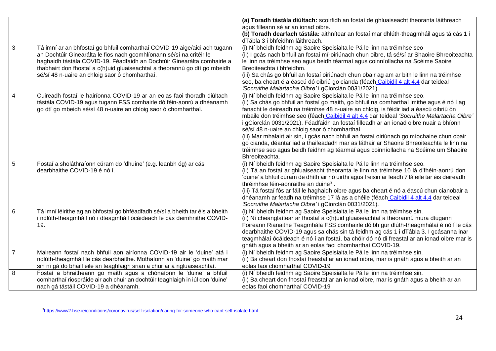|                |                                                                               | (a) Toradh tástála diúltach: scoirfidh an fostaí de ghluaiseacht theoranta láithreach          |
|----------------|-------------------------------------------------------------------------------|------------------------------------------------------------------------------------------------|
|                |                                                                               | agus filleann sé ar an ionad oibre.                                                            |
|                |                                                                               | (b) Toradh dearfach tástála: aithnítear an fostaí mar dhlúth-theagmháil agus tá cás 1 i        |
|                |                                                                               | dTábla 3 i bhfeidhm láithreach.                                                                |
| 3              | Tá imní ar an bhfostaí go bhfuil comharthaí COVID-19 aige/aici ach tugann     | (i) Ní bheidh feidhm ag Saoire Speisialta le Pá le linn na tréimhse seo                        |
|                | an Dochtúir Ginearálta le fios nach gcomhlíonann sé/sí na critéir le          | (ii) I gcás nach bhfuil an fostaí mí-oiriúnach chun oibre, tá sé/sí ar Shaoire Bhreoiteachta   |
|                | haghaidh tástála COVID-19. Féadfaidh an Dochtúir Ginearálta comhairle a       | le linn na tréimhse seo agus beidh téarmaí agus coinníollacha na Scéime Saoire                 |
|                | thabhairt don fhostaí a c(h)uid gluaiseachtaí a theorannú go dtí go mbeidh    | Breoiteachta i bhfeidhm.                                                                       |
|                | sé/sí 48 n-uaire an chloig saor ó chomharthaí.                                | (iii) Sa chás go bhfuil an fostaí oiriúnach chun obair ag am ar bith le linn na tréimhse       |
|                |                                                                               | seo, ba cheart é a éascú dó oibriú go cianda (féach Caibidil 4 alt 4.4 dar teideal             |
|                |                                                                               | 'Socruithe Malartacha Oibre' i gCiorclán 0031/2021).                                           |
| 4              | Cuireadh fostaí le hairíonna COVID-19 ar an eolas faoi thoradh diúltach       | (i) Ní bheidh feidhm ag Saoire Speisialta le Pá le linn na tréimhse seo.                       |
|                | tástála COVID-19 agus tugann FSS comhairle dó féin-aonrú a dhéanamh           | (ii) Sa chás go bhfuil an fostaí go maith, go bhfuil na comharthaí imithe agus é nó í ag       |
|                | go dtí go mbeidh sé/sí 48 n-uaire an chloig saor ó chomharthaí.               | fanacht le deireadh na tréimhse 48 n-uaire an chloig, is féidir iad a éascú oibriú ón          |
|                |                                                                               | mbaile don tréimhse seo (féach Caibidil 4 alt 4.4 dar teideal 'Socruithe Malartacha Oibre'     |
|                |                                                                               | i gCiorclán 0031/2021). Féadfaidh an fostaí filleadh ar an ionad oibre nuair a bhíonn          |
|                |                                                                               | sé/sí 48 n-uaire an chloig saor ó chomharthaí.                                                 |
|                |                                                                               | (iii) Mar mhalairt air sin, i gcás nach bhfuil an fostaí oiriúnach go míochaine chun obair     |
|                |                                                                               | go cianda, déantar iad a thaifeadadh mar as láthair ar Shaoire Bhreoiteachta le linn na        |
|                |                                                                               | tréimhse seo agus beidh feidhm ag téarmaí agus coinníollacha na Scéime um Shaoire              |
|                |                                                                               | Bhreoiteachta.                                                                                 |
| 5              | Fostaí a sholáthraíonn cúram do 'dhuine' (e.g. leanbh óg) ar cás              | (i) Ní bheidh feidhm ag Saoire Speisialta le Pá le linn na tréimhse seo.                       |
|                | dearbhaithe COVID-19 é nó í.                                                  | (ii) Tá an fostaí ar ghluaiseacht theoranta le linn na tréimhse 10 lá d'fhéin-aonrú don        |
|                |                                                                               | 'duine' a bhfuil cúram de dhíth air nó uirthi agus freisin ar feadh 7 lá eile tar éis deireadh |
|                |                                                                               | thréimhse féin-aonraithe an duine <sup>3</sup> .                                               |
|                |                                                                               | (iii) Tá fostaí fós ar fáil le haghaidh oibre agus ba cheart é nó a éascú chun cianobair a     |
|                |                                                                               | dhéanamh ar feadh na tréimhse 17 lá as a chéile (féach Caibidil 4 alt 4.4 dar teideal          |
|                |                                                                               | 'Socruithe Malartacha Oibre' i gCiorclán 0031/2021).                                           |
| 6              | Tá imní léirithe ag an bhfostaí go bhféadfadh sé/sí a bheith tar éis a bheith | (i) Ní bheidh feidhm ag Saoire Speisialta le Pá le linn na tréimhse sin.                       |
|                | i ndlúth-theagmháil nó i dteagmháil ócáideach le cás deimhnithe COVID-        | (ii) Ní cheanglaítear ar fhostaí a c(h)uid gluaiseachtaí a theorannú mura dtugann              |
|                | 19.                                                                           | Foireann Rianaithe Teagmhála FSS comhairle dóibh gur dlúth-theagmhálaí é nó í le cás           |
|                |                                                                               | dearbhaithe COVID-19 agus sa chás sin tá feidhm ag cás 1 i dTábla 3. I gcásanna inar           |
|                |                                                                               | teagmhálaí ócáideach é nó í an fostaí, ba chóir dó nó di freastal ar an ionad oibre mar is     |
|                |                                                                               | gnáth agus a bheith ar an eolas faoi chomharthaí COVID-19.                                     |
| $\overline{7}$ | Maireann fostaí nach bhfuil aon airíonna COVID-19 air le 'duine' atá i        | (i) Ní bheidh feidhm ag Saoire Speisialta le Pá le linn na tréimhse sin.                       |
|                | ndlúth-theagmháil le cás dearbhaithe. Mothaíonn an 'duine' go maith mar       | (ii) Ba cheart don fhostaí freastal ar an ionad oibre, mar is gnáth agus a bheith ar an        |
|                | sin ní gá do bhaill eile an teaghlaigh srian a chur ar a ngluaiseachtaí.      | eolas faoi chomharthaí COVID-19                                                                |
| 8              | Fostaí a bhraitheann go maith agus a chónaíonn le 'duine' a bhfuil            | (i) Ní bheidh feidhm ag Saoire Speisialta le Pá le linn na tréimhse sin.                       |
|                | comharthaí riospráide air ach chuir an dochtúir teaghlaigh in iúl don 'duine' | (ii) Ba cheart don fhostaí freastal ar an ionad oibre, mar is gnáth agus a bheith ar an        |
|                | nach gá tástáil COVID-19 a dhéanamh.                                          | eolas faoi chomharthaí COVID-19                                                                |

 $\overline{\phantom{a}}$ 3https://www2.hse.ie/conditions/coronavirus/self-isolation/caring-for-someone-who-cant-self-isolate.html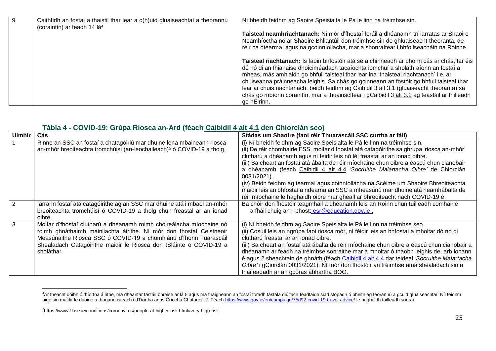| Caithfidh an fostaí a thaistil thar lear a c(h)uid gluaiseachtaí a theorannú<br>(coraintín) ar feadh 14 lá <sup>4</sup> | Ní bheidh feidhm ag Saoire Speisialta le Pá le linn na tréimhse sin.                                                                                                                                                                                                                                                                                                                                                                                                                                                                                                           |
|-------------------------------------------------------------------------------------------------------------------------|--------------------------------------------------------------------------------------------------------------------------------------------------------------------------------------------------------------------------------------------------------------------------------------------------------------------------------------------------------------------------------------------------------------------------------------------------------------------------------------------------------------------------------------------------------------------------------|
|                                                                                                                         | Taisteal neamhriachtanach: Ní mór d'fhostaí foráil a dhéanamh trí iarratas ar Shaoire<br>Neamhíoctha nó ar Shaoire Bhliantúil don tréimhse sin de ghluaiseacht theoranta, de<br>réir na dtéarmaí agus na gcoinníollacha, mar a shonraítear i bhfoilseacháin na Roinne.                                                                                                                                                                                                                                                                                                         |
|                                                                                                                         | Taisteal riachtanach: Is faoin bhfostóir atá sé a chinneadh ar bhonn cás ar chás, tar éis<br>dó nó di an fhianaise dhoiciméadach tacaíochta iomchuí a sholáthraíonn an fostaí a<br>mheas, más amhlaidh go bhfuil taisteal thar lear ina 'thaisteal riachtanach' i.e. ar<br>chúiseanna práinneacha leighis. Sa chás go gcinneann an fostóir go bhfuil taisteal thar<br>lear ar chúis riachtanach, beidh feidhm ag Caibidil 3 alt 3.1 (gluaiseacht theoranta) sa<br>chás go mbíonn coraintín, mar a thuairiscítear i gCaibidil 3 alt 3.2 ag teastáil ar fhilleadh<br>go hÉirinn. |

#### **Tábla 4 - COVID-19: Grúpa Riosca an-Ard (féach [Caibidil 4 alt](#page-15-3) 4.1 den Chiorclán seo)**

| <b>Uimhir</b> | Cás                                                                                                                                                                                                                                                                                                 | Stádas um Shaoire (faoi réir Thuarascáil SSC curtha ar fáil)                                                                                                                                                                                                                                                                                                                                                                                                                                                                                                                                                                                                                                                |
|---------------|-----------------------------------------------------------------------------------------------------------------------------------------------------------------------------------------------------------------------------------------------------------------------------------------------------|-------------------------------------------------------------------------------------------------------------------------------------------------------------------------------------------------------------------------------------------------------------------------------------------------------------------------------------------------------------------------------------------------------------------------------------------------------------------------------------------------------------------------------------------------------------------------------------------------------------------------------------------------------------------------------------------------------------|
|               | Rinne an SSC an fostaí a chatagóiriú mar dhuine lena mbaineann riosca<br>an-mhór breoiteachta tromchúisí (an-leochaileach) <sup>5</sup> ó COVID-19 a tholg.                                                                                                                                         | (i) Ní bheidh feidhm ag Saoire Speisialta le Pá le linn na tréimhse sin.<br>(ii) De réir chomhairle FSS, moltar d'fhostaí atá catagóirithe sa ghrúpa 'riosca an-mhór'<br>clutharú a dhéanamh agus ní féidir leis nó léi freastal ar an ionad oibre.<br>(iii) Ba cheart an fostaí atá ábalta de réir míochaine chun oibre a éascú chun cianobair<br>a dhéanamh (féach Caibidil 4 alt 4.4 'Socruithe Malartacha Oibre' de Chiorclán<br>0031/2021).<br>(iv) Beidh feidhm ag téarmaí agus coinníollacha na Scéime um Shaoire Bhreoiteachta<br>maidir leis an bhfostaí a ndearna an SSC a mheasúnú mar dhuine atá neamhábalta de<br>réir míochaine le haghaidh oibre mar gheall ar bhreoiteacht nach COVID-19 é. |
|               | larrann fostaí atá catagóirithe ag an SSC mar dhuine atá i mbaol an-mhór<br>breoiteachta tromchúisí ó COVID-19 a tholg chun freastal ar an ionad<br>oibre.                                                                                                                                          | Ba chóir don fhostóir teagmháil a dhéanamh leis an Roinn chun tuilleadh comhairle<br>a fháil chuig an r-phost: esr@education.gov.ie,                                                                                                                                                                                                                                                                                                                                                                                                                                                                                                                                                                        |
|               | Moltar d'fhostaí clutharú a dhéanamh roimh chóireálacha míochaine nó<br>roimh ghnáthaimh máinliachta áirithe. Ní mór don fhostaí Ceistneoir<br>Measúnaithe Riosca SSC ó COVID-19 a chomhlánú d'fhonn Tuarascáil<br>Shealadach Catagóirithe maidir le Riosca don tSláinte ó COVID-19 a<br>sholáthar. | (i) Ní bheidh feidhm ag Saoire Speisialta le Pá le linn na tréimhse seo.<br>(ii) Cosúil leis an ngrúpa faoi riosca mór, ní féidir leis an bhfostaí a mholtar dó nó di<br>clutharú freastal ar an ionad oibre.<br>(iii) Ba cheart an fostaí atá ábalta de réir míochaine chun oibre a éascú chun cianobair a<br>dhéanamh ar feadh na tréimhse sonraithe mar a mholtar ó thaobh leighis de, arb ionann<br>é agus 2 sheachtain de ghnáth (féach Caibidil 4 alt 4.4 dar teideal 'Socruithe Malartacha<br>Oibre' i gCiorclán 0031/2021). Ní mór don fhostóir an tréimhse ama shealadach sin a<br>thaifeadadh ar an gcóras ábhartha BOO.                                                                          |

<span id="page-24-0"></span> $\overline{a}$ <sup>4</sup>Ar theacht dóibh ó thíortha áirithe, má dhéantar tástáil bhreise ar lá 5 agus má fhaigheann an fostaí toradh tástála diúltach féadfaidh siad stopadh ó bheith ag teorannú a gcuid gluaiseachtaí. Níl feidhm aige sin maidir le daoine a thagann isteach i dTíortha agus Críocha Chatagóir 2. Féach [https://www.gov.ie/en/campaign/75d92-covid-19-travel-advice/](https://www.gov.ie/en/campaigns/75d92-covid-19-travel-advice/) le haghaidh tuilleadh sonraí.

<sup>5</sup><https://www2.hse.ie/conditions/coronavirus/people-at-higher-risk.html#very-high-risk>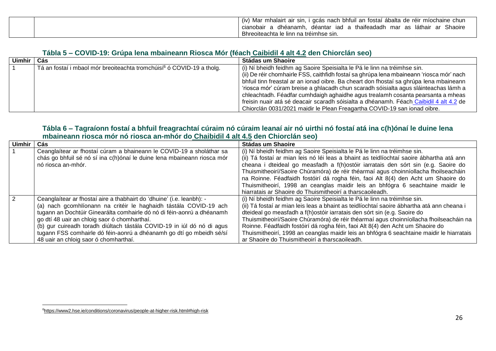|  | (iv)<br>i gcás nach bhfuil an fostaí ábalta de réir míochaine chun<br>Mar<br>mhalairt air sin, |
|--|------------------------------------------------------------------------------------------------|
|  | dhéanamh.<br>Shaoire<br>thaifeadadh mar as láthair ar :<br>déantar iad a<br>cianobair          |
|  | Bhreoiteachta le linn na tréimhse sin.                                                         |

#### **Tábla 5 – COVID-19: Grúpa lena mbaineann Riosca Mór (féach [Caibidil 4 alt](#page-16-1) 4.2 den Chiorclán seo)**

| <b>Uimhir</b> | Cás                                                                               | Stádas um Shaoire                                                                                                                                                                                                                                                                                                                             |
|---------------|-----------------------------------------------------------------------------------|-----------------------------------------------------------------------------------------------------------------------------------------------------------------------------------------------------------------------------------------------------------------------------------------------------------------------------------------------|
|               | Tá an fostaí i mbaol mór breoiteachta tromchúisí <sup>6</sup> ó COVID-19 a tholg. | (i) Ní bheidh feidhm ag Saoire Speisialta le Pá le linn na tréimhse sin.<br>(ii) De réir chomhairle FSS, caithfidh fostaí sa ghrúpa lena mbaineann 'riosca mór' nach<br>bhfuil tinn freastal ar an ionad oibre. Ba cheart don fhostaí sa ghrúpa lena mbaineann                                                                                |
|               |                                                                                   | 'riosca mór' cúram breise a ghlacadh chun scaradh sóisialta agus sláinteachas lámh a<br>chleachtadh. Féadfar cumhdaigh aghaidhe agus trealamh cosanta pearsanta a mheas<br>freisin nuair atá sé deacair scaradh sóisialta a dhéanamh. Féach Caibidil 4 alt 4.2 de<br>Chiorclán 0031/2021 maidir le Plean Freagartha COVID-19 san ionad oibre. |

#### **Tábla 6 – Tagraíonn fostaí a bhfuil freagrachtaí cúraim nó cúraim leanaí air nó uirthi nó fostaí atá ina c(h)ónaí le duine lena mbaineann riosca mór nó riosca an-mhór do [Chaibidil 4 alt](#page-20-2) 4.5 den Chiorclán seo)**

<span id="page-25-0"></span>

| <b>Uimhir</b> | Cás                                                                     | <b>Stádas um Shaoire</b>                                                                   |
|---------------|-------------------------------------------------------------------------|--------------------------------------------------------------------------------------------|
|               | Ceanglaítear ar fhostaí cúram a bhaineann le COVID-19 a sholáthar sa    | (i) Ní bheidh feidhm ag Saoire Speisialta le Pá le linn na tréimhse sin.                   |
|               | chás go bhfuil sé nó sí ina c(h)ónaí le duine lena mbaineann riosca mór | (ii) Tá fostaí ar mian leis nó léi leas a bhaint as teidlíochtaí saoire ábhartha atá ann   |
|               | nó riosca an-mhór.                                                      | cheana i dteideal go measfadh a f(h)ostóir iarratais den sórt sin (e.g. Saoire do          |
|               |                                                                         | Thuismitheoirí/Saoire Chúramóra) de réir théarmaí agus choinníollacha fhoilseacháin        |
|               |                                                                         | na Roinne. Féadfaidh fostóirí dá rogha féin, faoi Alt 8(4) den Acht um Shaoire do          |
|               |                                                                         | Thuismitheoirí, 1998 an ceanglas maidir leis an bhfógra 6 seachtaine maidir le             |
|               |                                                                         | hiarratais ar Shaoire do Thuismitheoirí a tharscaoileadh.                                  |
|               | Ceanglaítear ar fhostaí aire a thabhairt do 'dhuine' (i.e. leanbh): -   | (i) Ní bheidh feidhm ag Saoire Speisialta le Pá le linn na tréimhse sin.                   |
|               | (a) nach gcomhlíonann na critéir le haghaidh tástála COVID-19 ach       | (ii) Tá fostaí ar mian leis leas a bhaint as teidlíochtaí saoire ábhartha atá ann cheana i |
|               | tugann an Dochtúir Ginearálta comhairle dó nó di féin-aonrú a dhéanamh  | dteideal go measfadh a f(h)ostóir iarratais den sórt sin (e.g. Saoire do                   |
|               | go dtí 48 uair an chloig saor ó chomharthaí.                            | Thuismitheoirí/Saoire Chúramóra) de réir théarmaí agus choinníollacha fhoilseacháin na     |
|               | (b) gur cuireadh toradh diúltach tástála COVID-19 in iúl dó nó di agus  | Roinne. Féadfaidh fostóirí dá rogha féin, faoi Alt 8(4) den Acht um Shaoire do             |
|               | tugann FSS comhairle dó féin-aonrú a dhéanamh go dtí go mbeidh sé/sí    | Thuismitheoirí, 1998 an ceanglas maidir leis an bhfógra 6 seachtaine maidir le hiarratais  |
|               | 48 uair an chloig saor ó chomharthaí.                                   | ar Shaoire do Thuismitheoirí a tharscaoileadh.                                             |

<span id="page-25-1"></span> $\overline{\phantom{a}}$ 

<sup>6</sup><https://www2.hse.ie/conditions/coronavirus/people-at-higher-risk.html#high-risk>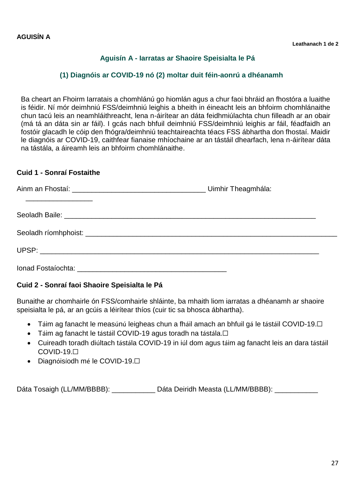## <span id="page-26-1"></span>**Aguisín A - Iarratas ar Shaoire Speisialta le Pá**

## **(1) Diagnóis ar COVID-19 nó (2) moltar duit féin-aonrú a dhéanamh**

<span id="page-26-0"></span>Ba cheart an Fhoirm Iarratais a chomhlánú go hiomlán agus a chur faoi bhráid an fhostóra a luaithe is féidir. Ní mór deimhniú FSS/deimhniú leighis a bheith in éineacht leis an bhfoirm chomhlánaithe chun tacú leis an neamhláithreacht, lena n-áirítear an dáta feidhmiúlachta chun filleadh ar an obair (má tá an dáta sin ar fáil). I gcás nach bhfuil deimhniú FSS/deimhniú leighis ar fáil, féadfaidh an fostóir glacadh le cóip den fhógra/deimhniú teachtaireachta téacs FSS ábhartha don fhostaí. Maidir le diagnóis ar COVID-19, caithfear fianaise mhíochaine ar an tástáil dhearfach, lena n-áirítear dáta na tástála, a áireamh leis an bhfoirm chomhlánaithe.

#### **Cuid 1 - Sonraí Fostaithe**

#### **Cuid 2 - Sonraí faoi Shaoire Speisialta le Pá**

Bunaithe ar chomhairle ón FSS/comhairle shláinte, ba mhaith liom iarratas a dhéanamh ar shaoire speisialta le pá, ar an gcúis a léirítear thíos (cuir tic sa bhosca ábhartha).

- Táim ag fanacht le measúnú leigheas chun a fháil amach an bhfuil gá le tástáil COVID-19.□
- Táim ag fanacht le tástáil COVID-19 agus toradh na tástála.□
- Cuireadh toradh diúltach tástála COVID-19 in iúl dom agus táim ag fanacht leis an dara tástáil COVID-19.☐
- Diagnóisíodh mé le COVID-19.□

Dáta Tosaigh (LL/MM/BBBB): Dáta Deiridh Measta (LL/MM/BBBB): Dáta Deiridh Measta (LL/MM/BBBB):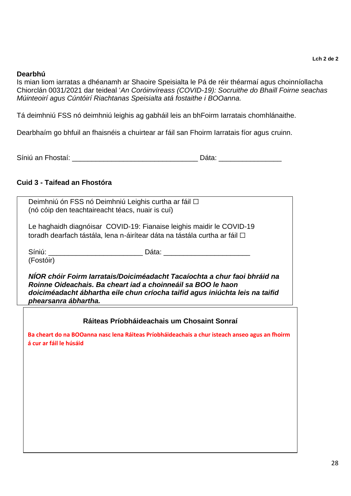#### **Dearbhú**

Is mian liom iarratas a dhéanamh ar Shaoire Speisialta le Pá de réir théarmaí agus choinníollacha Chiorclán 0031/2021 dar teideal '*An Coróinvíreass (COVID-19): Socruithe do Bhaill Foirne seachas Múinteoirí agus Cúntóirí Riachtanas Speisialta atá fostaithe i BOOanna.*

Tá deimhniú FSS nó deimhniú leighis ag gabháil leis an bhFoirm Iarratais chomhlánaithe.

Dearbhaím go bhfuil an fhaisnéis a chuirtear ar fáil san Fhoirm Iarratais fíor agus cruinn.

| Síniú an Fhostaí:<br>ald |
|--------------------------|
|--------------------------|

## **Cuid 3 - Taifead an Fhostóra**

| phearsanra ábhartha.                                                                                                        | NÍOR chóir Foirm Iarratais/Doiciméadacht Tacaíochta a chur faoi bhráid na<br>Roinne Oideachais. Ba cheart iad a choinneáil sa BOO le haon<br>doiciméadacht ábhartha eile chun críocha taifid agus iniúchta leis na taifid |
|-----------------------------------------------------------------------------------------------------------------------------|---------------------------------------------------------------------------------------------------------------------------------------------------------------------------------------------------------------------------|
| Síniú: Ann an Aonaichte agus an t-Iomraidhean an t-Iomraidhean an t-Iomraidhean an t-Iomraidhean an t-Iomraidh<br>(Fostóir) | Dáta: ____________                                                                                                                                                                                                        |
|                                                                                                                             | Le haghaidh diagnóisar COVID-19: Fianaise leighis maidir le COVID-19<br>toradh dearfach tástála, lena n-áirítear dáta na tástála curtha ar fáil □                                                                         |
| (nó cóip den teachtaireacht téacs, nuair is cuí)                                                                            | Deimhniú ón FSS nó Deimhniú Leighis curtha ar fáil □                                                                                                                                                                      |

#### **Ráiteas Príobháideachais um Chosaint Sonraí**

**Ba cheart do na BOOanna nasc lena Ráiteas Príobháideachais a chur isteach anseo agus an fhoirm á cur ar fáil le húsáid**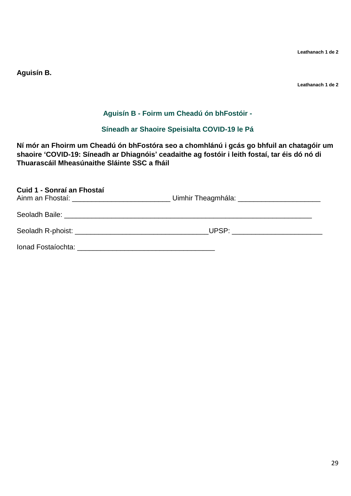**Leathanach 1 de 2**

<span id="page-28-0"></span>**Aguisín B.** 

**Leathanach 1 de 2**

## **Aguisín B - Foirm um Cheadú ón bhFostóir -**

## **Síneadh ar Shaoire Speisialta COVID-19 le Pá**

<span id="page-28-1"></span>**Ní mór an Fhoirm um Cheadú ón bhFostóra seo a chomhlánú i gcás go bhfuil an chatagóir um shaoire 'COVID-19: Síneadh ar Dhiagnóis' ceadaithe ag fostóir i leith fostaí, tar éis dó nó di Thuarascáil Mheasúnaithe Sláinte SSC a fháil** 

| Cuid 1 - Sonraí an Fhostaí<br>Ainm an Fhostaí: ___________________________________Uimhir Theagmhála: ____________________________ |  |
|-----------------------------------------------------------------------------------------------------------------------------------|--|
|                                                                                                                                   |  |
|                                                                                                                                   |  |
|                                                                                                                                   |  |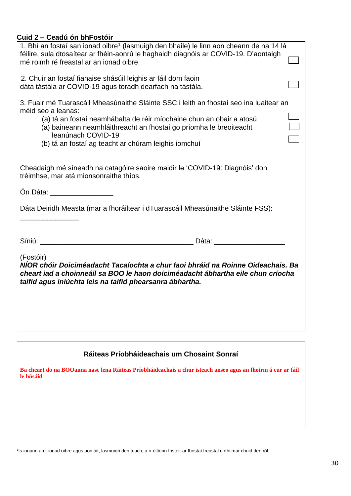## **Cuid 2 – Ceadú ón bhFostóir**

| 1. Bhí an fostaí san ionad oibre <sup>1</sup> (lasmuigh den bhaile) le linn aon cheann de na 14 lá<br>féilire, sula dtosaítear ar fhéin-aonrú le haghaidh diagnóis ar COVID-19. D'aontaigh<br>mé roimh ré freastal ar an ionad oibre.                                                                                                    |  |
|------------------------------------------------------------------------------------------------------------------------------------------------------------------------------------------------------------------------------------------------------------------------------------------------------------------------------------------|--|
| 2. Chuir an fostaí fianaise shásúil leighis ar fáil dom faoin<br>dáta tástála ar COVID-19 agus toradh dearfach na tástála.                                                                                                                                                                                                               |  |
| 3. Fuair mé Tuarascáil Mheasúnaithe Sláinte SSC i leith an fhostaí seo ina luaitear an<br>méid seo a leanas:<br>(a) tá an fostaí neamhábalta de réir míochaine chun an obair a atosú<br>(a) baineann neamhláithreacht an fhostaí go príomha le breoiteacht<br>leanúnach COVID-19<br>(b) tá an fostaí ag teacht ar chúram leighis iomchuí |  |
| Cheadaigh mé síneadh na catagóire saoire maidir le 'COVID-19: Diagnóis' don<br>tréimhse, mar atá mionsonraithe thíos.                                                                                                                                                                                                                    |  |
| Ón Dáta: <u>compare a contra de la contra de la contra de la contra de la contra de la contra de la contra de la</u>                                                                                                                                                                                                                     |  |
| Dáta Deiridh Measta (mar a fhoráiltear i dTuarascáil Mheasúnaithe Sláinte FSS):                                                                                                                                                                                                                                                          |  |
|                                                                                                                                                                                                                                                                                                                                          |  |
| (Fostóir)<br>NÍOR chóir Doiciméadacht Tacaíochta a chur faoi bhráid na Roinne Oideachais. Ba<br>cheart iad a choinneáil sa BOO le haon doiciméadacht ábhartha eile chun críocha<br>taifid agus iniúchta leis na taifid phearsanra ábhartha.                                                                                              |  |
|                                                                                                                                                                                                                                                                                                                                          |  |

### **Ráiteas Príobháideachais um Chosaint Sonraí**

**Ba cheart do na BOOanna nasc lena Ráiteas Príobháideachais a chur isteach anseo agus an fhoirm á cur ar fáil le húsáid**

 $\overline{a}$ 

<sup>1</sup> Is ionann an t-ionad oibre agus aon áit, lasmuigh den teach, a n-éilíonn fostóir ar fhostaí freastal uirthi mar chuid den ról.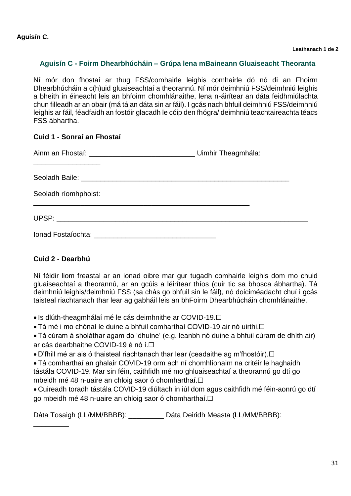### <span id="page-30-0"></span>**Aguisín C - Foirm Dhearbhúcháin – Grúpa lena mBaineann Gluaiseacht Theoranta**

Ní mór don fhostaí ar thug FSS/comhairle leighis comhairle dó nó di an Fhoirm Dhearbhúcháin a c(h)uid gluaiseachtaí a theorannú. Ní mór deimhniú FSS/deimhniú leighis a bheith in éineacht leis an bhfoirm chomhlánaithe, lena n-áirítear an dáta feidhmiúlachta chun filleadh ar an obair (má tá an dáta sin ar fáil). I gcás nach bhfuil deimhniú FSS/deimhniú leighis ar fáil, féadfaidh an fostóir glacadh le cóip den fhógra/ deimhniú teachtaireachta téacs FSS ábhartha.

#### **Cuid 1 - Sonraí an Fhostaí**

| Seoladh ríomhphoist: |  |
|----------------------|--|
|                      |  |
|                      |  |

#### **Cuid 2 - Dearbhú**

 $\overline{\phantom{a}}$ 

Ní féidir liom freastal ar an ionad oibre mar gur tugadh comhairle leighis dom mo chuid gluaiseachtaí a theorannú, ar an gcúis a léirítear thíos (cuir tic sa bhosca ábhartha). Tá deimhniú leighis/deimhniú FSS (sa chás go bhfuil sin le fáil), nó doiciméadacht chuí i gcás taisteal riachtanach thar lear ag gabháil leis an bhFoirm Dhearbhúcháin chomhlánaithe.

• Is dlúth-theagmhálaí mé le cás deimhnithe ar COVID-19.<del></del>

• Tá mé i mo chónaí le duine a bhfuil comharthaí COVID-19 air nó uirthi.□

 Tá cúram á sholáthar agam do 'dhuine' (e.g. leanbh nó duine a bhfuil cúram de dhíth air) ar cás dearbhaithe COVID-19 é nó í.<del></del>

• D'fhill mé ar ais ó thaisteal riachtanach thar lear (ceadaithe ag m'fhostóir).□

 Tá comharthaí an ghalair COVID-19 orm ach ní chomhlíonaim na critéir le haghaidh tástála COVID-19. Mar sin féin, caithfidh mé mo ghluaiseachtaí a theorannú go dtí go mbeidh mé 48 n-uaire an chloig saor ó chomharthaí.☐

 Cuireadh toradh tástála COVID-19 diúltach in iúl dom agus caithfidh mé féin-aonrú go dtí go mbeidh mé 48 n-uaire an chloig saor ó chomharthaí.□

Dáta Tosaigh (LL/MM/BBBB): \_\_\_\_\_\_\_\_\_ Dáta Deiridh Measta (LL/MM/BBBB):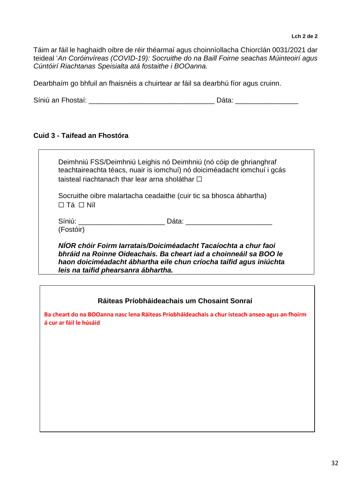Táim ar fáil le haghaidh oibre de réir théarmaí agus choinníollacha Chiorclán 0031/2021 dar teideal '*An Coróinvíreas (COVID-19): Socruithe do na Baill Foirne seachas Múinteoirí agus Cúntóirí Riachtanas Speisialta atá fostaithe i BOOanna.*

Dearbhaím go bhfuil an fhaisnéis a chuirtear ar fáil sa dearbhú fíor agus cruinn.

Síniú an Fhostaí: et a chomhair an t-ainm an Dáta: et a chomhair an Dáta: et a chomhair an Dáta: et a chomhair an Dáta: et a chomhair an t-ainm an Dáta: et a chomhair an t-ainm an Dáta: et a chomhair an t-ainm an Dáta: et

#### **Cuid 3 - Taifead an Fhostóra**

Deimhniú FSS/Deimhniú Leighis nó Deimhniú (nó cóip de ghrianghraf teachtaireachta téacs, nuair is iomchuí) nó doiciméadacht iomchuí i gcás taisteal riachtanach thar lear arna sholáthar  $□$ 

Socruithe oibre malartacha ceadaithe (cuir tic sa bhosca ábhartha)  $\Box$  Tá  $\Box$  Níl

Síniú: \_\_\_\_\_\_\_\_\_\_\_\_\_\_\_\_\_\_\_\_\_\_ Dáta: \_\_\_\_\_\_\_\_\_\_\_\_\_\_\_\_\_\_\_\_\_\_ (Fostóir)

*NÍOR chóir Foirm Iarratais/Doiciméadacht Tacaíochta a chur faoi bhráid na Roinne Oideachais. Ba cheart iad a choinneáil sa BOO le haon doiciméadacht ábhartha eile chun críocha taifid agus iniúchta leis na taifid phearsanra ábhartha.*

#### **Ráiteas Príobháideachais um Chosaint Sonraí**

**Ba cheart do na BOOanna nasc lena Ráiteas Príobháideachais a chur isteach anseo agus an fhoirm á cur ar fáil le húsáid**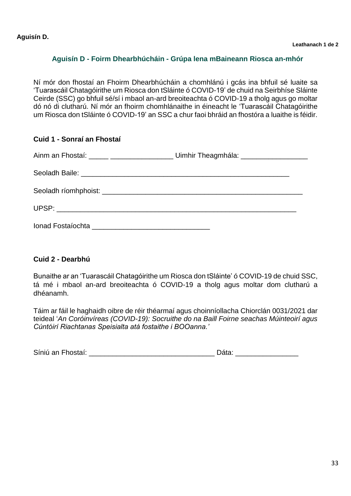### <span id="page-32-1"></span>**Aguisín D - Foirm Dhearbhúcháin - Grúpa lena mBaineann Riosca an-mhór**

<span id="page-32-0"></span>Ní mór don fhostaí an Fhoirm Dhearbhúcháin a chomhlánú i gcás ina bhfuil sé luaite sa 'Tuarascáil Chatagóirithe um Riosca don tSláinte ó COVID-19' de chuid na Seirbhíse Sláinte Ceirde (SSC) go bhfuil sé/sí i mbaol an-ard breoiteachta ó COVID-19 a tholg agus go moltar dó nó di clutharú. Ní mór an fhoirm chomhlánaithe in éineacht le 'Tuarascáil Chatagóirithe um Riosca don tSláinte ó COVID-19' an SSC a chur faoi bhráid an fhostóra a luaithe is féidir.

#### **Cuid 1 - Sonraí an Fhostaí**

| Ainm an Fhostaí: _____ ___________________________ Uimhir Theagmhála: _____________________________                                                                                                                                  |  |
|--------------------------------------------------------------------------------------------------------------------------------------------------------------------------------------------------------------------------------------|--|
| Seoladh Baile: <u>Charles and Charles and Charles and Charles and Charles and Charles and Charles and Charles and Charles and Charles and Charles and Charles and Charles and Charles and Charles and Charles and Charles and Ch</u> |  |
|                                                                                                                                                                                                                                      |  |
|                                                                                                                                                                                                                                      |  |
|                                                                                                                                                                                                                                      |  |

#### **Cuid 2 - Dearbhú**

Bunaithe ar an 'Tuarascáil Chatagóirithe um Riosca don tSláinte' ó COVID-19 de chuid SSC, tá mé i mbaol an-ard breoiteachta ó COVID-19 a tholg agus moltar dom clutharú a dhéanamh.

Táim ar fáil le haghaidh oibre de réir théarmaí agus choinníollacha Chiorclán 0031/2021 dar teideal '*An Coróinvíreas (COVID-19): Socruithe do na Baill Foirne seachas Múinteoirí agus Cúntóirí Riachtanas Speisialta atá fostaithe i BOOanna.'*

| Síniú an Fhostaí:<br>Data |  |
|---------------------------|--|
|---------------------------|--|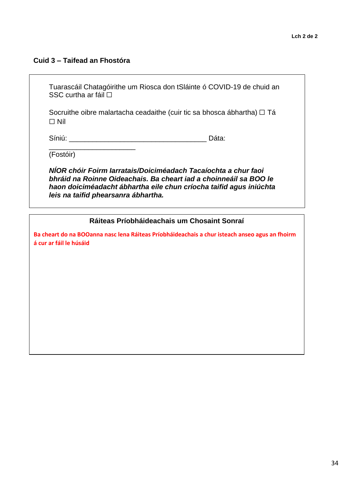#### **Cuid 3 – Taifead an Fhostóra**

\_\_\_\_\_\_\_\_\_\_\_\_\_\_\_\_\_\_\_\_\_\_

Tuarascáil Chatagóirithe um Riosca don tSláinte ó COVID-19 de chuid an SSC curtha ar fáil □

Socruithe oibre malartacha ceadaithe (cuir tic sa bhosca ábhartha)  $\Box$  Tá  $\Box$  Níl

Síniú: **Europa and an component and an anti-sensitive Contract Dáta: Dáta:** 

(Fostóir)

*NÍOR chóir Foirm Iarratais/Doiciméadach Tacaíochta a chur faoi bhráid na Roinne Oideachais. Ba cheart iad a choinneáil sa BOO le haon doiciméadacht ábhartha eile chun críocha taifid agus iniúchta leis na taifid phearsanra ábhartha.* 

#### **Ráiteas Príobháideachais um Chosaint Sonraí**

**Ba cheart do na BOOanna nasc lena Ráiteas Príobháideachais a chur isteach anseo agus an fhoirm á cur ar fáil le húsáid**